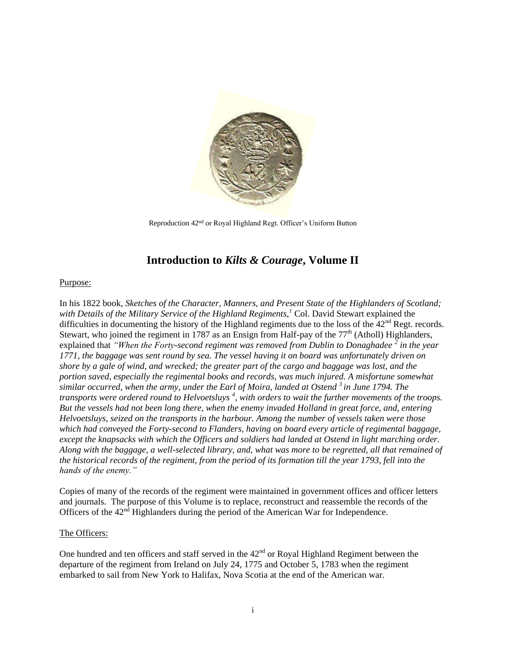

Reproduction 42nd or Royal Highland Regt. Officer's Uniform Button

# **Introduction to** *Kilts & Courage***, Volume II**

#### Purpose:

In his 1822 book, *Sketches of the Character, Manners, and Present State of the Highlanders of Scotland; with Details of the Military Service of the Highland Regiments,<sup>1</sup>* Col. David Stewart explained the difficulties in documenting the history of the Highland regiments due to the loss of the 42<sup>nd</sup> Regt. records. Stewart, who joined the regiment in 1787 as an Ensign from Half-pay of the  $77<sup>th</sup>$  (Atholl) Highlanders, explained that *"When the Forty-second regiment was removed from Dublin to Donaghadee* <sup>2</sup> in the year *1771, the baggage was sent round by sea. The vessel having it on board was unfortunately driven on shore by a gale of wind, and wrecked; the greater part of the cargo and baggage was lost, and the portion saved, especially the regimental books and records, was much injured. A misfortune somewhat similar occurred, when the army, under the Earl of Moira, landed at Ostend <sup>3</sup>in June 1794. The*  transports were ordered round to Helvoetsluys<sup>4</sup>, with orders to wait the further movements of the troops. *But the vessels had not been long there, when the enemy invaded Holland in great force, and, entering Helvoetsluys, seized on the transports in the harbour. Among the number of vessels taken were those which had conveyed the Forty-second to Flanders, having on board every article of regimental baggage, except the knapsacks with which the Officers and soldiers had landed at Ostend in light marching order. Along with the baggage, a well-selected library, and, what was more to be regretted, all that remained of the historical records of the regiment, from the period of its formation till the year 1793, fell into the hands of the enemy."*

Copies of many of the records of the regiment were maintained in government offices and officer letters and journals. The purpose of this Volume is to replace, reconstruct and reassemble the records of the Officers of the  $42<sup>nd</sup>$  Highlanders during the period of the American War for Independence.

#### The Officers:

One hundred and ten officers and staff served in the 42<sup>nd</sup> or Royal Highland Regiment between the departure of the regiment from Ireland on July 24, 1775 and October 5, 1783 when the regiment embarked to sail from New York to Halifax, Nova Scotia at the end of the American war.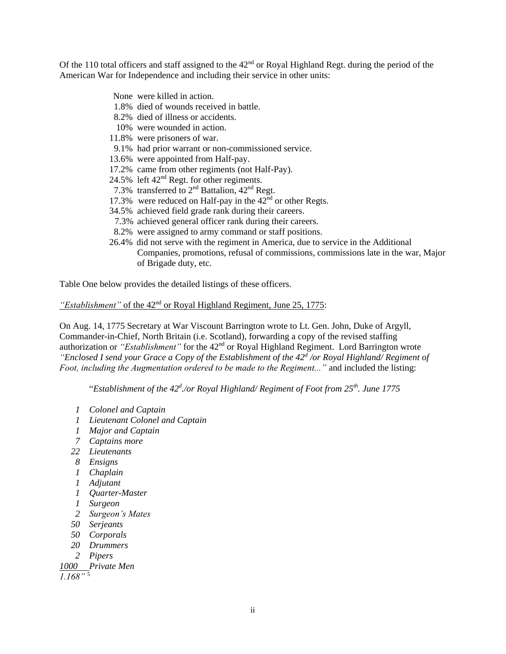Of the 110 total officers and staff assigned to the  $42<sup>nd</sup>$  or Royal Highland Regt. during the period of the American War for Independence and including their service in other units:

- None were killed in action.
- 1.8% died of wounds received in battle.
- 8.2% died of illness or accidents.
- 10% were wounded in action.
- 11.8% were prisoners of war.
- 9.1% had prior warrant or non-commissioned service.
- 13.6% were appointed from Half-pay.
- 17.2% came from other regiments (not Half-Pay).
- 24.5% left  $42<sup>nd</sup>$  Regt. for other regiments.
- 7.3% transferred to  $2<sup>nd</sup>$  Battalion,  $42<sup>nd</sup>$  Regt.
- 17.3% were reduced on Half-pay in the  $42<sup>nd</sup>$  or other Regts.
- 34.5% achieved field grade rank during their careers.
- 7.3% achieved general officer rank during their careers.
- 8.2% were assigned to army command or staff positions.
- 26.4% did not serve with the regiment in America, due to service in the Additional Companies, promotions, refusal of commissions, commissions late in the war, Major of Brigade duty, etc.

Table One below provides the detailed listings of these officers.

#### *"Establishment"* of the 42<sup>nd</sup> or Royal Highland Regiment, June 25, 1775:

On Aug. 14, 1775 Secretary at War Viscount Barrington wrote to Lt. Gen. John, Duke of Argyll, Commander-in-Chief, North Britain (i.e. Scotland), forwarding a copy of the revised staffing authorization or *"Establishment"* for the 42<sup>nd</sup> or Royal Highland Regiment. Lord Barrington wrote *"Enclosed I send your Grace a Copy of the Establishment of the 42<sup>d</sup> /or Royal Highland/ Regiment of Foot, including the Augmentation ordered to be made to the Regiment..."* and included the listing:

"*Establishment of the 42<sup>d</sup> ./or Royal Highland/ Regiment of Foot from 25th. June 1775*

- *1 Colonel and Captain*
- *1 Lieutenant Colonel and Captain*
- *1 Major and Captain*
- *7 Captains more*
- *22 Lieutenants*
- *8 Ensigns*
- *1 Chaplain*
- *1 Adjutant*
- *1 Quarter-Master*
- *1 Surgeon*
- *2 Surgeon's Mates*
- *50 Serjeants*
- *50 Corporals*
- *20 Drummers*
- *2 Pipers*

*1000 Private Men*

*1.168"* <sup>5</sup>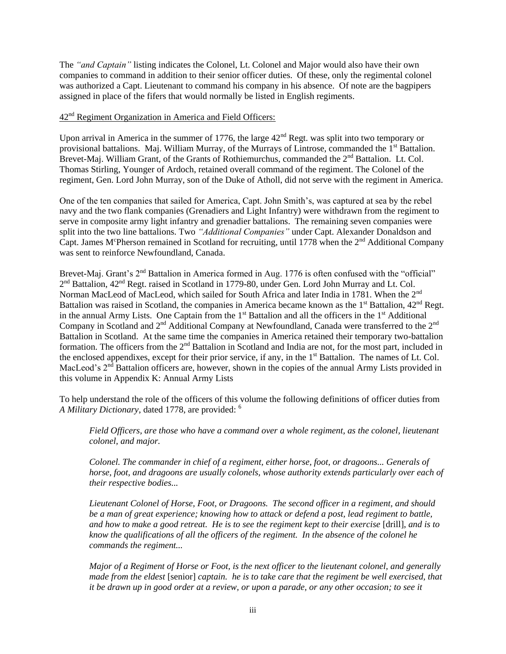The *"and Captain"* listing indicates the Colonel, Lt. Colonel and Major would also have their own companies to command in addition to their senior officer duties. Of these, only the regimental colonel was authorized a Capt. Lieutenant to command his company in his absence. Of note are the bagpipers assigned in place of the fifers that would normally be listed in English regiments.

#### 42nd Regiment Organization in America and Field Officers:

Upon arrival in America in the summer of 1776, the large  $42<sup>nd</sup>$  Regt. was split into two temporary or provisional battalions. Maj. William Murray, of the Murrays of Lintrose, commanded the 1<sup>st</sup> Battalion. Brevet-Maj. William Grant, of the Grants of Rothiemurchus, commanded the 2<sup>nd</sup> Battalion. Lt. Col. Thomas Stirling, Younger of Ardoch, retained overall command of the regiment. The Colonel of the regiment, Gen. Lord John Murray, son of the Duke of Atholl, did not serve with the regiment in America.

One of the ten companies that sailed for America, Capt. John Smith's, was captured at sea by the rebel navy and the two flank companies (Grenadiers and Light Infantry) were withdrawn from the regiment to serve in composite army light infantry and grenadier battalions. The remaining seven companies were split into the two line battalions. Two *"Additional Companies"* under Capt. Alexander Donaldson and Capt. James M<sup>c</sup>Pherson remained in Scotland for recruiting, until 1778 when the 2<sup>nd</sup> Additional Company was sent to reinforce Newfoundland, Canada.

Brevet-Maj. Grant's 2<sup>nd</sup> Battalion in America formed in Aug. 1776 is often confused with the "official" 2<sup>nd</sup> Battalion, 42<sup>nd</sup> Regt. raised in Scotland in 1779-80, under Gen. Lord John Murray and Lt. Col. Norman MacLeod of MacLeod, which sailed for South Africa and later India in 1781. When the 2<sup>nd</sup> Battalion was raised in Scotland, the companies in America became known as the 1<sup>st</sup> Battalion, 42<sup>nd</sup> Regt. in the annual Army Lists. One Captain from the  $1<sup>st</sup>$  Battalion and all the officers in the  $1<sup>st</sup>$  Additional Company in Scotland and 2<sup>nd</sup> Additional Company at Newfoundland, Canada were transferred to the 2<sup>nd</sup> Battalion in Scotland. At the same time the companies in America retained their temporary two-battalion formation. The officers from the  $2<sup>nd</sup>$  Battalion in Scotland and India are not, for the most part, included in the enclosed appendixes, except for their prior service, if any, in the 1<sup>st</sup> Battalion. The names of Lt. Col. MacLeod's  $2<sup>nd</sup>$  Battalion officers are, however, shown in the copies of the annual Army Lists provided in this volume in Appendix K: Annual Army Lists

To help understand the role of the officers of this volume the following definitions of officer duties from *A Military Dictionary*, dated 1778, are provided: <sup>6</sup>

*Field Officers, are those who have a command over a whole regiment, as the colonel, lieutenant colonel, and major.*

*Colonel. The commander in chief of a regiment, either horse, foot, or dragoons... Generals of horse, foot, and dragoons are usually colonels, whose authority extends particularly over each of their respective bodies...*

*Lieutenant Colonel of Horse, Foot, or Dragoons. The second officer in a regiment, and should be a man of great experience; knowing how to attack or defend a post, lead regiment to battle, and how to make a good retreat. He is to see the regiment kept to their exercise* [drill], *and is to know the qualifications of all the officers of the regiment. In the absence of the colonel he commands the regiment...*

*Major of a Regiment of Horse or Foot, is the next officer to the lieutenant colonel, and generally made from the eldest* [senior] *captain. he is to take care that the regiment be well exercised, that it be drawn up in good order at a review, or upon a parade, or any other occasion; to see it*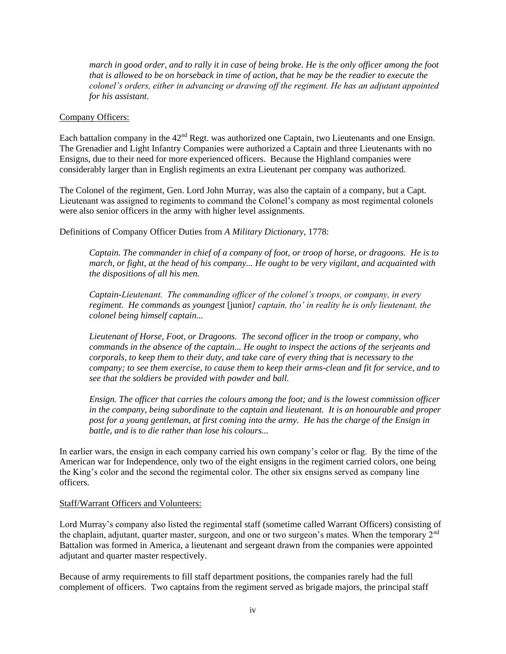*march in good order, and to rally it in case of being broke. He is the only officer among the foot that is allowed to be on horseback in time of action, that he may be the readier to execute the colonel's orders, either in advancing or drawing off the regiment. He has an adjutant appointed for his assistant.*

#### Company Officers:

Each battalion company in the 42<sup>nd</sup> Regt. was authorized one Captain, two Lieutenants and one Ensign. The Grenadier and Light Infantry Companies were authorized a Captain and three Lieutenants with no Ensigns, due to their need for more experienced officers. Because the Highland companies were considerably larger than in English regiments an extra Lieutenant per company was authorized.

The Colonel of the regiment, Gen. Lord John Murray, was also the captain of a company, but a Capt. Lieutenant was assigned to regiments to command the Colonel's company as most regimental colonels were also senior officers in the army with higher level assignments.

Definitions of Company Officer Duties from *A Military Dictionary*, 1778:

*Captain. The commander in chief of a company of foot, or troop of horse, or dragoons. He is to march, or fight, at the head of his company... He ought to be very vigilant, and acquainted with the dispositions of all his men.*

*Captain-Lieutenant. The commanding officer of the colonel's troops, or company, in every regiment. He commands as youngest* [junior*] captain, tho' in reality he is only lieutenant, the colonel being himself captain...*

*Lieutenant of Horse, Foot, or Dragoons. The second officer in the troop or company, who commands in the absence of the captain... He ought to inspect the actions of the serjeants and corporals, to keep them to their duty, and take care of every thing that is necessary to the company; to see them exercise, to cause them to keep their arms-clean and fit for service, and to see that the soldiers be provided with powder and ball.*

*Ensign. The officer that carries the colours among the foot; and is the lowest commission officer in the company, being subordinate to the captain and lieutenant. It is an honourable and proper post for a young gentleman, at first coming into the army. He has the charge of the Ensign in battle, and is to die rather than lose his colours...*

In earlier wars, the ensign in each company carried his own company's color or flag. By the time of the American war for Independence, only two of the eight ensigns in the regiment carried colors, one being the King's color and the second the regimental color. The other six ensigns served as company line officers.

#### Staff/Warrant Officers and Volunteers:

Lord Murray's company also listed the regimental staff (sometime called Warrant Officers) consisting of the chaplain, adjutant, quarter master, surgeon, and one or two surgeon's mates. When the temporary 2<sup>nd</sup> Battalion was formed in America, a lieutenant and sergeant drawn from the companies were appointed adjutant and quarter master respectively.

Because of army requirements to fill staff department positions, the companies rarely had the full complement of officers. Two captains from the regiment served as brigade majors, the principal staff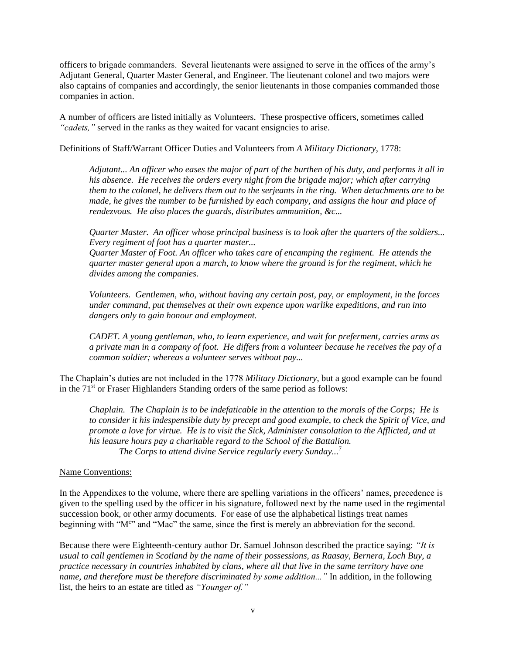officers to brigade commanders. Several lieutenants were assigned to serve in the offices of the army's Adjutant General, Quarter Master General, and Engineer. The lieutenant colonel and two majors were also captains of companies and accordingly, the senior lieutenants in those companies commanded those companies in action.

A number of officers are listed initially as Volunteers. These prospective officers, sometimes called "*cadets*," served in the ranks as they waited for vacant ensigncies to arise.

Definitions of Staff/Warrant Officer Duties and Volunteers from *A Military Dictionary*, 1778:

*Adjutant... An officer who eases the major of part of the burthen of his duty, and performs it all in his absence. He receives the orders every night from the brigade major; which after carrying them to the colonel, he delivers them out to the serjeants in the ring. When detachments are to be made, he gives the number to be furnished by each company, and assigns the hour and place of rendezvous. He also places the guards, distributes ammunition, &c...* 

*Quarter Master. An officer whose principal business is to look after the quarters of the soldiers... Every regiment of foot has a quarter master...*

*Quarter Master of Foot. An officer who takes care of encamping the regiment. He attends the quarter master general upon a march, to know where the ground is for the regiment, which he divides among the companies.*

*Volunteers. Gentlemen, who, without having any certain post, pay, or employment, in the forces under command, put themselves at their own expence upon warlike expeditions, and run into dangers only to gain honour and employment.*

*CADET. A young gentleman, who, to learn experience, and wait for preferment, carries arms as a private man in a company of foot. He differs from a volunteer because he receives the pay of a common soldier; whereas a volunteer serves without pay...* 

The Chaplain's duties are not included in the 1778 *Military Dictionary*, but a good example can be found in the  $71<sup>st</sup>$  or Fraser Highlanders Standing orders of the same period as follows:

*Chaplain. The Chaplain is to be indefaticable in the attention to the morals of the Corps; He is to consider it his indespensible duty by precept and good example, to check the Spirit of Vice, and promote a love for virtue. He is to visit the Sick, Administer consolation to the Afflicted, and at his leasure hours pay a charitable regard to the School of the Battalion. The Corps to attend divine Service regularly every Sunday...*<sup>7</sup>

#### Name Conventions:

In the Appendixes to the volume, where there are spelling variations in the officers' names, precedence is given to the spelling used by the officer in his signature, followed next by the name used in the regimental succession book, or other army documents. For ease of use the alphabetical listings treat names beginning with "M" and "Mac" the same, since the first is merely an abbreviation for the second.

Because there were Eighteenth-century author Dr. Samuel Johnson described the practice saying: *"It is usual to call gentlemen in Scotland by the name of their possessions, as Raasay, Bernera, Loch Buy, a practice necessary in countries inhabited by clans, where all that live in the same territory have one name, and therefore must be therefore discriminated by some addition..."* In addition, in the following list, the heirs to an estate are titled as *"Younger of."*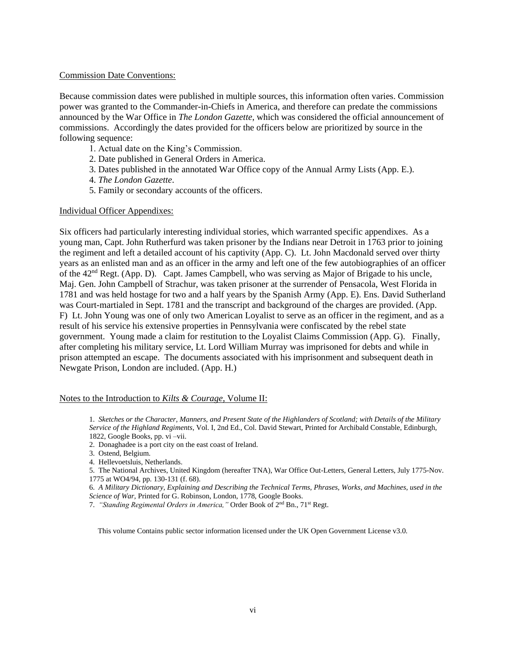#### Commission Date Conventions:

Because commission dates were published in multiple sources, this information often varies. Commission power was granted to the Commander-in-Chiefs in America, and therefore can predate the commissions announced by the War Office in *The London Gazette*, which was considered the official announcement of commissions. Accordingly the dates provided for the officers below are prioritized by source in the following sequence:

- 1. Actual date on the King's Commission.
- 2. Date published in General Orders in America.
- 3. Dates published in the annotated War Office copy of the Annual Army Lists (App. E.).
- 4. *The London Gazette*.
- 5. Family or secondary accounts of the officers.

#### Individual Officer Appendixes:

Six officers had particularly interesting individual stories, which warranted specific appendixes. As a young man, Capt. John Rutherfurd was taken prisoner by the Indians near Detroit in 1763 prior to joining the regiment and left a detailed account of his captivity (App. C). Lt. John Macdonald served over thirty years as an enlisted man and as an officer in the army and left one of the few autobiographies of an officer of the 42nd Regt. (App. D). Capt. James Campbell, who was serving as Major of Brigade to his uncle, Maj. Gen. John Campbell of Strachur, was taken prisoner at the surrender of Pensacola, West Florida in 1781 and was held hostage for two and a half years by the Spanish Army (App. E). Ens. David Sutherland was Court-martialed in Sept. 1781 and the transcript and background of the charges are provided. (App. F) Lt. John Young was one of only two American Loyalist to serve as an officer in the regiment, and as a result of his service his extensive properties in Pennsylvania were confiscated by the rebel state government. Young made a claim for restitution to the Loyalist Claims Commission (App. G). Finally, after completing his military service, Lt. Lord William Murray was imprisoned for debts and while in prison attempted an escape. The documents associated with his imprisonment and subsequent death in Newgate Prison, London are included. (App. H.)

#### Notes to the Introduction to *Kilts & Courage*, Volume II:

1. *Sketches or the Character, Manners, and Present State of the Highlanders of Scotland; with Details of the Military Service of the Highland Regiments*, Vol. I, 2nd Ed., Col. David Stewart, Printed for Archibald Constable, Edinburgh, 1822, Google Books, pp. vi –vii.

2.Donaghadee is a port city on the east coast of Ireland.

6. *A Military Dictionary, Explaining and Describing the Technical Terms, Phrases, Works, and Machines, used in the Science of War,* Printed for G. Robinson, London, 1778, Google Books.

7. *"Standing Regimental Orders in America,"* Order Book of 2nd Bn., 71st Regt.

This volume Contains public sector information licensed under the UK Open Government License v3.0.

<sup>3.</sup> Ostend, Belgium.

<sup>4.</sup>Hellevoetsluis, Netherlands.

<sup>5.</sup> The National Archives, United Kingdom (hereafter TNA), War Office Out-Letters, General Letters, July 1775-Nov. 1775 at WO4/94, pp. 130-131 (f. 68).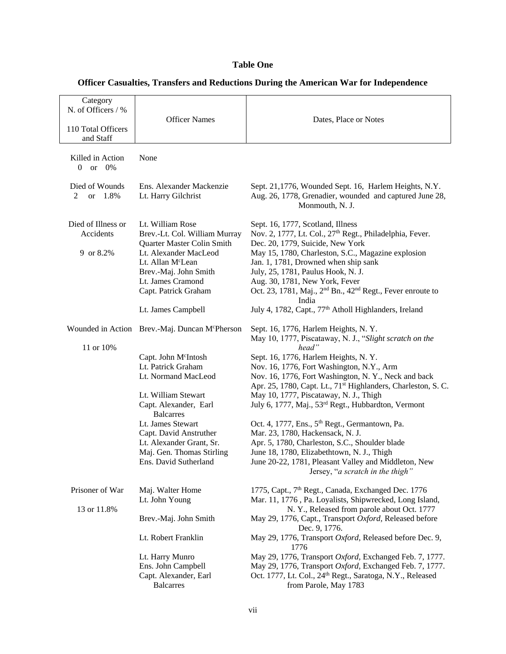## **Table One**

| Category                        |                                                            |                                                                                                                            |
|---------------------------------|------------------------------------------------------------|----------------------------------------------------------------------------------------------------------------------------|
| N. of Officers / %              |                                                            |                                                                                                                            |
|                                 | <b>Officer Names</b>                                       | Dates, Place or Notes                                                                                                      |
| 110 Total Officers              |                                                            |                                                                                                                            |
| and Staff                       |                                                            |                                                                                                                            |
| Killed in Action                | None                                                       |                                                                                                                            |
| $\overline{0}$<br>or $0\%$      |                                                            |                                                                                                                            |
|                                 |                                                            |                                                                                                                            |
| Died of Wounds                  | Ens. Alexander Mackenzie                                   | Sept. 21,1776, Wounded Sept. 16, Harlem Heights, N.Y.                                                                      |
| or 1.8%<br>2                    | Lt. Harry Gilchrist                                        | Aug. 26, 1778, Grenadier, wounded and captured June 28,                                                                    |
|                                 |                                                            | Monmouth, N. J.                                                                                                            |
|                                 |                                                            |                                                                                                                            |
| Died of Illness or<br>Accidents | Lt. William Rose<br>Brev.-Lt. Col. William Murray          | Sept. 16, 1777, Scotland, Illness<br>Nov. 2, 1777, Lt. Col., 27 <sup>th</sup> Regt., Philadelphia, Fever.                  |
|                                 | Quarter Master Colin Smith                                 | Dec. 20, 1779, Suicide, New York                                                                                           |
| 9 or 8.2%                       | Lt. Alexander MacLeod                                      | May 15, 1780, Charleston, S.C., Magazine explosion                                                                         |
|                                 | Lt. Allan M <sup>c</sup> Lean                              | Jan. 1, 1781, Drowned when ship sank                                                                                       |
|                                 | Brev.-Maj. John Smith                                      | July, 25, 1781, Paulus Hook, N. J.                                                                                         |
|                                 | Lt. James Cramond                                          | Aug. 30, 1781, New York, Fever                                                                                             |
|                                 | Capt. Patrick Graham                                       | Oct. 23, 1781, Maj., 2 <sup>nd</sup> Bn., 42 <sup>nd</sup> Regt., Fever enroute to                                         |
|                                 |                                                            | India                                                                                                                      |
|                                 | Lt. James Campbell                                         | July 4, 1782, Capt., 77 <sup>th</sup> Atholl Highlanders, Ireland                                                          |
|                                 | Wounded in Action Brev.-Maj. Duncan M <sup>c</sup> Pherson | Sept. 16, 1776, Harlem Heights, N.Y.                                                                                       |
|                                 |                                                            | May 10, 1777, Piscataway, N. J., "Slight scratch on the                                                                    |
| 11 or 10%                       |                                                            | head"                                                                                                                      |
|                                 | Capt. John M <sup>c</sup> Intosh                           | Sept. 16, 1776, Harlem Heights, N.Y.                                                                                       |
|                                 | Lt. Patrick Graham                                         | Nov. 16, 1776, Fort Washington, N.Y., Arm                                                                                  |
|                                 | Lt. Normand MacLeod                                        | Nov. 16, 1776, Fort Washington, N.Y., Neck and back                                                                        |
|                                 |                                                            | Apr. 25, 1780, Capt. Lt., 71 <sup>st</sup> Highlanders, Charleston, S. C.                                                  |
|                                 | Lt. William Stewart                                        | May 10, 1777, Piscataway, N. J., Thigh                                                                                     |
|                                 | Capt. Alexander, Earl<br><b>Balcarres</b>                  | July 6, 1777, Maj., 53 <sup>rd</sup> Regt., Hubbardton, Vermont                                                            |
|                                 | Lt. James Stewart                                          | Oct. 4, 1777, Ens., 5 <sup>th</sup> Regt., Germantown, Pa.                                                                 |
|                                 | Capt. David Anstruther                                     | Mar. 23, 1780, Hackensack, N. J.                                                                                           |
|                                 | Lt. Alexander Grant, Sr.                                   | Apr. 5, 1780, Charleston, S.C., Shoulder blade                                                                             |
|                                 | Maj. Gen. Thomas Stirling                                  | June 18, 1780, Elizabethtown, N. J., Thigh                                                                                 |
|                                 | Ens. David Sutherland                                      | June 20-22, 1781, Pleasant Valley and Middleton, New                                                                       |
|                                 |                                                            | Jersey, "a scratch in the thigh"                                                                                           |
|                                 |                                                            |                                                                                                                            |
| Prisoner of War                 | Maj. Walter Home                                           | 1775, Capt., 7 <sup>th</sup> Regt., Canada, Exchanged Dec. 1776<br>Mar. 11, 1776, Pa. Loyalists, Shipwrecked, Long Island, |
| 13 or 11.8%                     | Lt. John Young                                             | N.Y., Released from parole about Oct. 1777                                                                                 |
|                                 | Brev.-Maj. John Smith                                      | May 29, 1776, Capt., Transport Oxford, Released before                                                                     |
|                                 |                                                            | Dec. 9, 1776.                                                                                                              |
|                                 | Lt. Robert Franklin                                        | May 29, 1776, Transport Oxford, Released before Dec. 9,                                                                    |
|                                 |                                                            | 1776                                                                                                                       |
|                                 | Lt. Harry Munro                                            | May 29, 1776, Transport Oxford, Exchanged Feb. 7, 1777.                                                                    |
|                                 | Ens. John Campbell                                         | May 29, 1776, Transport Oxford, Exchanged Feb. 7, 1777.                                                                    |
|                                 | Capt. Alexander, Earl                                      | Oct. 1777, Lt. Col., 24 <sup>th</sup> Regt., Saratoga, N.Y., Released                                                      |
|                                 | <b>Balcarres</b>                                           | from Parole, May 1783                                                                                                      |

## **Officer Casualties, Transfers and Reductions During the American War for Independence**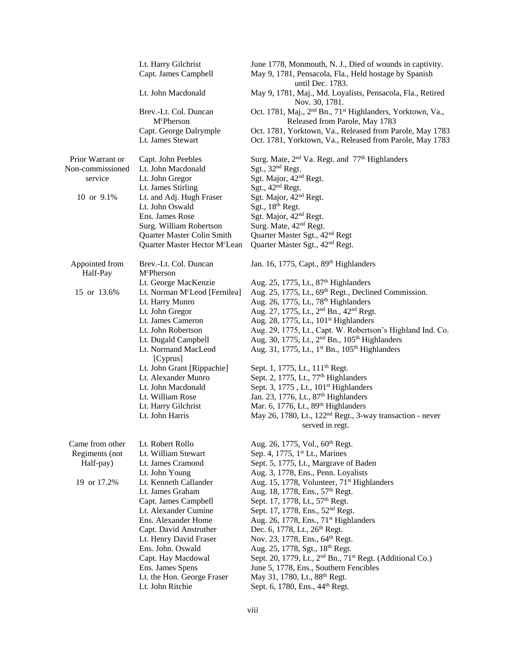| Lt. John Macdonald<br>Nov. 30, 1781.<br>Brev.-Lt. Col. Duncan<br>Released from Parole, May 1783<br>M <sup>c</sup> Pherson<br>Capt. George Dalrymple<br>Lt. James Stewart<br>Surg. Mate, 2 <sup>nd</sup> Va. Regt. and 77 <sup>th</sup> Highlanders<br>Prior Warrant or<br>Capt. John Peebles<br>Sgt., 32 <sup>nd</sup> Regt.<br>Non-commissioned<br>Lt. John Macdonald<br>Sgt. Major, 42 <sup>nd</sup> Regt.<br>service<br>Lt. John Gregor<br>Sgt., 42 <sup>nd</sup> Regt.<br>Lt. James Stirling<br>10 or 9.1%<br>Sgt. Major, 42 <sup>nd</sup> Regt.<br>Lt. and Adj. Hugh Fraser<br>Sgt., 18 <sup>th</sup> Regt.<br>Lt. John Oswald<br>Sgt. Major, 42 <sup>nd</sup> Regt.<br>Ens. James Rose<br>Surg. Mate, 42 <sup>nd</sup> Regt.<br>Surg. William Robertson<br>Quarter Master Sgt., 42 <sup>nd</sup> Regt<br>Quarter Master Colin Smith<br>Quarter Master Sgt., 42 <sup>nd</sup> Regt.<br>Quarter Master Hector McLean<br>Jan. 16, 1775, Capt., 89 <sup>th</sup> Highlanders<br>Appointed from<br>Brev.-Lt. Col. Duncan<br>Half-Pay<br>McPherson<br>Aug. 25, 1775, Lt., 87 <sup>th</sup> Highlanders<br>Lt. George MacKenzie<br>Aug. 25, 1775, Lt., 69 <sup>th</sup> Regt., Declined Commission.<br>15 or 13.6%<br>Lt. Norman M <sup>c</sup> Leod [Fernilea]<br>Aug. 26, 1775, Lt., 78 <sup>th</sup> Highlanders<br>Lt. Harry Munro<br>Aug. 27, 1775, Lt., 2 <sup>nd</sup> Bn., 42 <sup>nd</sup> Regt.<br>Lt. John Gregor<br>Lt. James Cameron<br>Aug. 28, 1775, Lt., 101 <sup>st</sup> Highlanders<br>Aug. 29, 1775, Lt., Capt. W. Robertson's Highland Ind. Co.<br>Lt. John Robertson<br>Aug. 30, 1775, Lt., 2 <sup>nd</sup> Bn., 105 <sup>th</sup> Highlanders<br>Lt. Dugald Campbell<br>Aug. 31, 1775, Lt., 1 <sup>st</sup> Bn., 105 <sup>th</sup> Highlanders<br>Lt. Normand MacLeod<br>[Cyprus]<br>Lt. John Grant [Rippachie]<br>Sept. 1, 1775, Lt., 111 <sup>th</sup> Regt.<br>Sept. 2, 1775, Lt., 77 <sup>th</sup> Highlanders<br>Lt. Alexander Munro<br>Lt. John Macdonald<br>Sept. 3, 1775, Lt., 101 <sup>st</sup> Highlanders<br>Lt. William Rose<br>Jan. 23, 1776, Lt., 87 <sup>th</sup> Highlanders<br>Mar. 6, 1776, Lt., 89 <sup>th</sup> Highlanders<br>Lt. Harry Gilchrist<br>May 26, 1780, Lt., 122 <sup>nd</sup> Regt., 3-way transaction - never<br>Lt. John Harris<br>served in regt.<br>Came from other<br>Lt. Robert Rollo<br>Aug. 26, 1775, Vol., 60 <sup>th</sup> Regt.<br>Sep. 4, 1775, 1 <sup>st</sup> Lt., Marines<br>Regiments (not<br>Lt. William Stewart<br>Half-pay)<br>Lt. James Cramond<br>Sept. 5, 1775, Lt., Margrave of Baden<br>Aug. 3, 1778, Ens., Penn. Loyalists<br>Lt. John Young<br>19 or 17.2%<br>Lt. Kenneth Callander<br>Aug. 15, 1778, Volunteer, 71 <sup>st</sup> Highlanders<br>Lt. James Graham<br>Aug. 18, 1778, Ens., 57 <sup>th</sup> Regt.<br>Sept. 17, 1778, Lt., 57 <sup>th</sup> Regt.<br>Capt. James Campbell<br>Lt. Alexander Cumine<br>Sept. 17, 1778, Ens., 52 <sup>nd</sup> Regt.<br>Ens. Alexander Home<br>Aug. 26, 1778, Ens., 71 <sup>st</sup> Highlanders<br>Dec. 6, 1778, Lt., 26 <sup>th</sup> Regt.<br>Capt. David Anstruther<br>Nov. 23, 1778, Ens., 64th Regt.<br>Lt. Henry David Fraser<br>Ens. John. Oswald<br>Aug. 25, 1778, Sgt., 18th Regt.<br>Sept. 20, 1779, Lt., 2 <sup>nd</sup> Bn., 71 <sup>st</sup> Regt. (Additional Co.)<br>Capt. Hay Macdowal<br>June 5, 1778, Ens., Southern Fencibles<br>Ens. James Spens<br>Lt. the Hon. George Fraser<br>May 31, 1780, Lt., 88 <sup>th</sup> Regt.<br>Lt. John Ritchie<br>Sept. 6, 1780, Ens., 44 <sup>th</sup> Regt. | Lt. Harry Gilchrist<br>Capt. James Campbell | June 1778, Monmouth, N. J., Died of wounds in captivity.<br>May 9, 1781, Pensacola, Fla., Held hostage by Spanish<br>until Dec. 1783. |
|-------------------------------------------------------------------------------------------------------------------------------------------------------------------------------------------------------------------------------------------------------------------------------------------------------------------------------------------------------------------------------------------------------------------------------------------------------------------------------------------------------------------------------------------------------------------------------------------------------------------------------------------------------------------------------------------------------------------------------------------------------------------------------------------------------------------------------------------------------------------------------------------------------------------------------------------------------------------------------------------------------------------------------------------------------------------------------------------------------------------------------------------------------------------------------------------------------------------------------------------------------------------------------------------------------------------------------------------------------------------------------------------------------------------------------------------------------------------------------------------------------------------------------------------------------------------------------------------------------------------------------------------------------------------------------------------------------------------------------------------------------------------------------------------------------------------------------------------------------------------------------------------------------------------------------------------------------------------------------------------------------------------------------------------------------------------------------------------------------------------------------------------------------------------------------------------------------------------------------------------------------------------------------------------------------------------------------------------------------------------------------------------------------------------------------------------------------------------------------------------------------------------------------------------------------------------------------------------------------------------------------------------------------------------------------------------------------------------------------------------------------------------------------------------------------------------------------------------------------------------------------------------------------------------------------------------------------------------------------------------------------------------------------------------------------------------------------------------------------------------------------------------------------------------------------------------------------------------------------------------------------------------------------------------------------------------------------------------------------------------------------------------------------------------------------------------------------------------------------------------------------------------------------------------------|---------------------------------------------|---------------------------------------------------------------------------------------------------------------------------------------|
|                                                                                                                                                                                                                                                                                                                                                                                                                                                                                                                                                                                                                                                                                                                                                                                                                                                                                                                                                                                                                                                                                                                                                                                                                                                                                                                                                                                                                                                                                                                                                                                                                                                                                                                                                                                                                                                                                                                                                                                                                                                                                                                                                                                                                                                                                                                                                                                                                                                                                                                                                                                                                                                                                                                                                                                                                                                                                                                                                                                                                                                                                                                                                                                                                                                                                                                                                                                                                                                                                                                                                 |                                             | May 9, 1781, Maj., Md. Loyalists, Pensacola, Fla., Retired                                                                            |
|                                                                                                                                                                                                                                                                                                                                                                                                                                                                                                                                                                                                                                                                                                                                                                                                                                                                                                                                                                                                                                                                                                                                                                                                                                                                                                                                                                                                                                                                                                                                                                                                                                                                                                                                                                                                                                                                                                                                                                                                                                                                                                                                                                                                                                                                                                                                                                                                                                                                                                                                                                                                                                                                                                                                                                                                                                                                                                                                                                                                                                                                                                                                                                                                                                                                                                                                                                                                                                                                                                                                                 |                                             | Oct. 1781, Maj., 2 <sup>nd</sup> Bn., 71 <sup>st</sup> Highlanders, Yorktown, Va.,                                                    |
|                                                                                                                                                                                                                                                                                                                                                                                                                                                                                                                                                                                                                                                                                                                                                                                                                                                                                                                                                                                                                                                                                                                                                                                                                                                                                                                                                                                                                                                                                                                                                                                                                                                                                                                                                                                                                                                                                                                                                                                                                                                                                                                                                                                                                                                                                                                                                                                                                                                                                                                                                                                                                                                                                                                                                                                                                                                                                                                                                                                                                                                                                                                                                                                                                                                                                                                                                                                                                                                                                                                                                 |                                             | Oct. 1781, Yorktown, Va., Released from Parole, May 1783<br>Oct. 1781, Yorktown, Va., Released from Parole, May 1783                  |
|                                                                                                                                                                                                                                                                                                                                                                                                                                                                                                                                                                                                                                                                                                                                                                                                                                                                                                                                                                                                                                                                                                                                                                                                                                                                                                                                                                                                                                                                                                                                                                                                                                                                                                                                                                                                                                                                                                                                                                                                                                                                                                                                                                                                                                                                                                                                                                                                                                                                                                                                                                                                                                                                                                                                                                                                                                                                                                                                                                                                                                                                                                                                                                                                                                                                                                                                                                                                                                                                                                                                                 |                                             |                                                                                                                                       |
|                                                                                                                                                                                                                                                                                                                                                                                                                                                                                                                                                                                                                                                                                                                                                                                                                                                                                                                                                                                                                                                                                                                                                                                                                                                                                                                                                                                                                                                                                                                                                                                                                                                                                                                                                                                                                                                                                                                                                                                                                                                                                                                                                                                                                                                                                                                                                                                                                                                                                                                                                                                                                                                                                                                                                                                                                                                                                                                                                                                                                                                                                                                                                                                                                                                                                                                                                                                                                                                                                                                                                 |                                             |                                                                                                                                       |
|                                                                                                                                                                                                                                                                                                                                                                                                                                                                                                                                                                                                                                                                                                                                                                                                                                                                                                                                                                                                                                                                                                                                                                                                                                                                                                                                                                                                                                                                                                                                                                                                                                                                                                                                                                                                                                                                                                                                                                                                                                                                                                                                                                                                                                                                                                                                                                                                                                                                                                                                                                                                                                                                                                                                                                                                                                                                                                                                                                                                                                                                                                                                                                                                                                                                                                                                                                                                                                                                                                                                                 |                                             |                                                                                                                                       |
|                                                                                                                                                                                                                                                                                                                                                                                                                                                                                                                                                                                                                                                                                                                                                                                                                                                                                                                                                                                                                                                                                                                                                                                                                                                                                                                                                                                                                                                                                                                                                                                                                                                                                                                                                                                                                                                                                                                                                                                                                                                                                                                                                                                                                                                                                                                                                                                                                                                                                                                                                                                                                                                                                                                                                                                                                                                                                                                                                                                                                                                                                                                                                                                                                                                                                                                                                                                                                                                                                                                                                 |                                             |                                                                                                                                       |
|                                                                                                                                                                                                                                                                                                                                                                                                                                                                                                                                                                                                                                                                                                                                                                                                                                                                                                                                                                                                                                                                                                                                                                                                                                                                                                                                                                                                                                                                                                                                                                                                                                                                                                                                                                                                                                                                                                                                                                                                                                                                                                                                                                                                                                                                                                                                                                                                                                                                                                                                                                                                                                                                                                                                                                                                                                                                                                                                                                                                                                                                                                                                                                                                                                                                                                                                                                                                                                                                                                                                                 |                                             |                                                                                                                                       |
|                                                                                                                                                                                                                                                                                                                                                                                                                                                                                                                                                                                                                                                                                                                                                                                                                                                                                                                                                                                                                                                                                                                                                                                                                                                                                                                                                                                                                                                                                                                                                                                                                                                                                                                                                                                                                                                                                                                                                                                                                                                                                                                                                                                                                                                                                                                                                                                                                                                                                                                                                                                                                                                                                                                                                                                                                                                                                                                                                                                                                                                                                                                                                                                                                                                                                                                                                                                                                                                                                                                                                 |                                             |                                                                                                                                       |
|                                                                                                                                                                                                                                                                                                                                                                                                                                                                                                                                                                                                                                                                                                                                                                                                                                                                                                                                                                                                                                                                                                                                                                                                                                                                                                                                                                                                                                                                                                                                                                                                                                                                                                                                                                                                                                                                                                                                                                                                                                                                                                                                                                                                                                                                                                                                                                                                                                                                                                                                                                                                                                                                                                                                                                                                                                                                                                                                                                                                                                                                                                                                                                                                                                                                                                                                                                                                                                                                                                                                                 |                                             |                                                                                                                                       |
|                                                                                                                                                                                                                                                                                                                                                                                                                                                                                                                                                                                                                                                                                                                                                                                                                                                                                                                                                                                                                                                                                                                                                                                                                                                                                                                                                                                                                                                                                                                                                                                                                                                                                                                                                                                                                                                                                                                                                                                                                                                                                                                                                                                                                                                                                                                                                                                                                                                                                                                                                                                                                                                                                                                                                                                                                                                                                                                                                                                                                                                                                                                                                                                                                                                                                                                                                                                                                                                                                                                                                 |                                             |                                                                                                                                       |
|                                                                                                                                                                                                                                                                                                                                                                                                                                                                                                                                                                                                                                                                                                                                                                                                                                                                                                                                                                                                                                                                                                                                                                                                                                                                                                                                                                                                                                                                                                                                                                                                                                                                                                                                                                                                                                                                                                                                                                                                                                                                                                                                                                                                                                                                                                                                                                                                                                                                                                                                                                                                                                                                                                                                                                                                                                                                                                                                                                                                                                                                                                                                                                                                                                                                                                                                                                                                                                                                                                                                                 |                                             |                                                                                                                                       |
|                                                                                                                                                                                                                                                                                                                                                                                                                                                                                                                                                                                                                                                                                                                                                                                                                                                                                                                                                                                                                                                                                                                                                                                                                                                                                                                                                                                                                                                                                                                                                                                                                                                                                                                                                                                                                                                                                                                                                                                                                                                                                                                                                                                                                                                                                                                                                                                                                                                                                                                                                                                                                                                                                                                                                                                                                                                                                                                                                                                                                                                                                                                                                                                                                                                                                                                                                                                                                                                                                                                                                 |                                             |                                                                                                                                       |
|                                                                                                                                                                                                                                                                                                                                                                                                                                                                                                                                                                                                                                                                                                                                                                                                                                                                                                                                                                                                                                                                                                                                                                                                                                                                                                                                                                                                                                                                                                                                                                                                                                                                                                                                                                                                                                                                                                                                                                                                                                                                                                                                                                                                                                                                                                                                                                                                                                                                                                                                                                                                                                                                                                                                                                                                                                                                                                                                                                                                                                                                                                                                                                                                                                                                                                                                                                                                                                                                                                                                                 |                                             |                                                                                                                                       |
|                                                                                                                                                                                                                                                                                                                                                                                                                                                                                                                                                                                                                                                                                                                                                                                                                                                                                                                                                                                                                                                                                                                                                                                                                                                                                                                                                                                                                                                                                                                                                                                                                                                                                                                                                                                                                                                                                                                                                                                                                                                                                                                                                                                                                                                                                                                                                                                                                                                                                                                                                                                                                                                                                                                                                                                                                                                                                                                                                                                                                                                                                                                                                                                                                                                                                                                                                                                                                                                                                                                                                 |                                             |                                                                                                                                       |
|                                                                                                                                                                                                                                                                                                                                                                                                                                                                                                                                                                                                                                                                                                                                                                                                                                                                                                                                                                                                                                                                                                                                                                                                                                                                                                                                                                                                                                                                                                                                                                                                                                                                                                                                                                                                                                                                                                                                                                                                                                                                                                                                                                                                                                                                                                                                                                                                                                                                                                                                                                                                                                                                                                                                                                                                                                                                                                                                                                                                                                                                                                                                                                                                                                                                                                                                                                                                                                                                                                                                                 |                                             |                                                                                                                                       |
|                                                                                                                                                                                                                                                                                                                                                                                                                                                                                                                                                                                                                                                                                                                                                                                                                                                                                                                                                                                                                                                                                                                                                                                                                                                                                                                                                                                                                                                                                                                                                                                                                                                                                                                                                                                                                                                                                                                                                                                                                                                                                                                                                                                                                                                                                                                                                                                                                                                                                                                                                                                                                                                                                                                                                                                                                                                                                                                                                                                                                                                                                                                                                                                                                                                                                                                                                                                                                                                                                                                                                 |                                             |                                                                                                                                       |
|                                                                                                                                                                                                                                                                                                                                                                                                                                                                                                                                                                                                                                                                                                                                                                                                                                                                                                                                                                                                                                                                                                                                                                                                                                                                                                                                                                                                                                                                                                                                                                                                                                                                                                                                                                                                                                                                                                                                                                                                                                                                                                                                                                                                                                                                                                                                                                                                                                                                                                                                                                                                                                                                                                                                                                                                                                                                                                                                                                                                                                                                                                                                                                                                                                                                                                                                                                                                                                                                                                                                                 |                                             |                                                                                                                                       |
|                                                                                                                                                                                                                                                                                                                                                                                                                                                                                                                                                                                                                                                                                                                                                                                                                                                                                                                                                                                                                                                                                                                                                                                                                                                                                                                                                                                                                                                                                                                                                                                                                                                                                                                                                                                                                                                                                                                                                                                                                                                                                                                                                                                                                                                                                                                                                                                                                                                                                                                                                                                                                                                                                                                                                                                                                                                                                                                                                                                                                                                                                                                                                                                                                                                                                                                                                                                                                                                                                                                                                 |                                             |                                                                                                                                       |
|                                                                                                                                                                                                                                                                                                                                                                                                                                                                                                                                                                                                                                                                                                                                                                                                                                                                                                                                                                                                                                                                                                                                                                                                                                                                                                                                                                                                                                                                                                                                                                                                                                                                                                                                                                                                                                                                                                                                                                                                                                                                                                                                                                                                                                                                                                                                                                                                                                                                                                                                                                                                                                                                                                                                                                                                                                                                                                                                                                                                                                                                                                                                                                                                                                                                                                                                                                                                                                                                                                                                                 |                                             |                                                                                                                                       |
|                                                                                                                                                                                                                                                                                                                                                                                                                                                                                                                                                                                                                                                                                                                                                                                                                                                                                                                                                                                                                                                                                                                                                                                                                                                                                                                                                                                                                                                                                                                                                                                                                                                                                                                                                                                                                                                                                                                                                                                                                                                                                                                                                                                                                                                                                                                                                                                                                                                                                                                                                                                                                                                                                                                                                                                                                                                                                                                                                                                                                                                                                                                                                                                                                                                                                                                                                                                                                                                                                                                                                 |                                             |                                                                                                                                       |
|                                                                                                                                                                                                                                                                                                                                                                                                                                                                                                                                                                                                                                                                                                                                                                                                                                                                                                                                                                                                                                                                                                                                                                                                                                                                                                                                                                                                                                                                                                                                                                                                                                                                                                                                                                                                                                                                                                                                                                                                                                                                                                                                                                                                                                                                                                                                                                                                                                                                                                                                                                                                                                                                                                                                                                                                                                                                                                                                                                                                                                                                                                                                                                                                                                                                                                                                                                                                                                                                                                                                                 |                                             |                                                                                                                                       |
|                                                                                                                                                                                                                                                                                                                                                                                                                                                                                                                                                                                                                                                                                                                                                                                                                                                                                                                                                                                                                                                                                                                                                                                                                                                                                                                                                                                                                                                                                                                                                                                                                                                                                                                                                                                                                                                                                                                                                                                                                                                                                                                                                                                                                                                                                                                                                                                                                                                                                                                                                                                                                                                                                                                                                                                                                                                                                                                                                                                                                                                                                                                                                                                                                                                                                                                                                                                                                                                                                                                                                 |                                             |                                                                                                                                       |
|                                                                                                                                                                                                                                                                                                                                                                                                                                                                                                                                                                                                                                                                                                                                                                                                                                                                                                                                                                                                                                                                                                                                                                                                                                                                                                                                                                                                                                                                                                                                                                                                                                                                                                                                                                                                                                                                                                                                                                                                                                                                                                                                                                                                                                                                                                                                                                                                                                                                                                                                                                                                                                                                                                                                                                                                                                                                                                                                                                                                                                                                                                                                                                                                                                                                                                                                                                                                                                                                                                                                                 |                                             |                                                                                                                                       |
|                                                                                                                                                                                                                                                                                                                                                                                                                                                                                                                                                                                                                                                                                                                                                                                                                                                                                                                                                                                                                                                                                                                                                                                                                                                                                                                                                                                                                                                                                                                                                                                                                                                                                                                                                                                                                                                                                                                                                                                                                                                                                                                                                                                                                                                                                                                                                                                                                                                                                                                                                                                                                                                                                                                                                                                                                                                                                                                                                                                                                                                                                                                                                                                                                                                                                                                                                                                                                                                                                                                                                 |                                             |                                                                                                                                       |
|                                                                                                                                                                                                                                                                                                                                                                                                                                                                                                                                                                                                                                                                                                                                                                                                                                                                                                                                                                                                                                                                                                                                                                                                                                                                                                                                                                                                                                                                                                                                                                                                                                                                                                                                                                                                                                                                                                                                                                                                                                                                                                                                                                                                                                                                                                                                                                                                                                                                                                                                                                                                                                                                                                                                                                                                                                                                                                                                                                                                                                                                                                                                                                                                                                                                                                                                                                                                                                                                                                                                                 |                                             |                                                                                                                                       |
|                                                                                                                                                                                                                                                                                                                                                                                                                                                                                                                                                                                                                                                                                                                                                                                                                                                                                                                                                                                                                                                                                                                                                                                                                                                                                                                                                                                                                                                                                                                                                                                                                                                                                                                                                                                                                                                                                                                                                                                                                                                                                                                                                                                                                                                                                                                                                                                                                                                                                                                                                                                                                                                                                                                                                                                                                                                                                                                                                                                                                                                                                                                                                                                                                                                                                                                                                                                                                                                                                                                                                 |                                             |                                                                                                                                       |
|                                                                                                                                                                                                                                                                                                                                                                                                                                                                                                                                                                                                                                                                                                                                                                                                                                                                                                                                                                                                                                                                                                                                                                                                                                                                                                                                                                                                                                                                                                                                                                                                                                                                                                                                                                                                                                                                                                                                                                                                                                                                                                                                                                                                                                                                                                                                                                                                                                                                                                                                                                                                                                                                                                                                                                                                                                                                                                                                                                                                                                                                                                                                                                                                                                                                                                                                                                                                                                                                                                                                                 |                                             |                                                                                                                                       |
|                                                                                                                                                                                                                                                                                                                                                                                                                                                                                                                                                                                                                                                                                                                                                                                                                                                                                                                                                                                                                                                                                                                                                                                                                                                                                                                                                                                                                                                                                                                                                                                                                                                                                                                                                                                                                                                                                                                                                                                                                                                                                                                                                                                                                                                                                                                                                                                                                                                                                                                                                                                                                                                                                                                                                                                                                                                                                                                                                                                                                                                                                                                                                                                                                                                                                                                                                                                                                                                                                                                                                 |                                             |                                                                                                                                       |
|                                                                                                                                                                                                                                                                                                                                                                                                                                                                                                                                                                                                                                                                                                                                                                                                                                                                                                                                                                                                                                                                                                                                                                                                                                                                                                                                                                                                                                                                                                                                                                                                                                                                                                                                                                                                                                                                                                                                                                                                                                                                                                                                                                                                                                                                                                                                                                                                                                                                                                                                                                                                                                                                                                                                                                                                                                                                                                                                                                                                                                                                                                                                                                                                                                                                                                                                                                                                                                                                                                                                                 |                                             |                                                                                                                                       |
|                                                                                                                                                                                                                                                                                                                                                                                                                                                                                                                                                                                                                                                                                                                                                                                                                                                                                                                                                                                                                                                                                                                                                                                                                                                                                                                                                                                                                                                                                                                                                                                                                                                                                                                                                                                                                                                                                                                                                                                                                                                                                                                                                                                                                                                                                                                                                                                                                                                                                                                                                                                                                                                                                                                                                                                                                                                                                                                                                                                                                                                                                                                                                                                                                                                                                                                                                                                                                                                                                                                                                 |                                             |                                                                                                                                       |
|                                                                                                                                                                                                                                                                                                                                                                                                                                                                                                                                                                                                                                                                                                                                                                                                                                                                                                                                                                                                                                                                                                                                                                                                                                                                                                                                                                                                                                                                                                                                                                                                                                                                                                                                                                                                                                                                                                                                                                                                                                                                                                                                                                                                                                                                                                                                                                                                                                                                                                                                                                                                                                                                                                                                                                                                                                                                                                                                                                                                                                                                                                                                                                                                                                                                                                                                                                                                                                                                                                                                                 |                                             |                                                                                                                                       |
|                                                                                                                                                                                                                                                                                                                                                                                                                                                                                                                                                                                                                                                                                                                                                                                                                                                                                                                                                                                                                                                                                                                                                                                                                                                                                                                                                                                                                                                                                                                                                                                                                                                                                                                                                                                                                                                                                                                                                                                                                                                                                                                                                                                                                                                                                                                                                                                                                                                                                                                                                                                                                                                                                                                                                                                                                                                                                                                                                                                                                                                                                                                                                                                                                                                                                                                                                                                                                                                                                                                                                 |                                             |                                                                                                                                       |
|                                                                                                                                                                                                                                                                                                                                                                                                                                                                                                                                                                                                                                                                                                                                                                                                                                                                                                                                                                                                                                                                                                                                                                                                                                                                                                                                                                                                                                                                                                                                                                                                                                                                                                                                                                                                                                                                                                                                                                                                                                                                                                                                                                                                                                                                                                                                                                                                                                                                                                                                                                                                                                                                                                                                                                                                                                                                                                                                                                                                                                                                                                                                                                                                                                                                                                                                                                                                                                                                                                                                                 |                                             |                                                                                                                                       |
|                                                                                                                                                                                                                                                                                                                                                                                                                                                                                                                                                                                                                                                                                                                                                                                                                                                                                                                                                                                                                                                                                                                                                                                                                                                                                                                                                                                                                                                                                                                                                                                                                                                                                                                                                                                                                                                                                                                                                                                                                                                                                                                                                                                                                                                                                                                                                                                                                                                                                                                                                                                                                                                                                                                                                                                                                                                                                                                                                                                                                                                                                                                                                                                                                                                                                                                                                                                                                                                                                                                                                 |                                             |                                                                                                                                       |
|                                                                                                                                                                                                                                                                                                                                                                                                                                                                                                                                                                                                                                                                                                                                                                                                                                                                                                                                                                                                                                                                                                                                                                                                                                                                                                                                                                                                                                                                                                                                                                                                                                                                                                                                                                                                                                                                                                                                                                                                                                                                                                                                                                                                                                                                                                                                                                                                                                                                                                                                                                                                                                                                                                                                                                                                                                                                                                                                                                                                                                                                                                                                                                                                                                                                                                                                                                                                                                                                                                                                                 |                                             |                                                                                                                                       |
|                                                                                                                                                                                                                                                                                                                                                                                                                                                                                                                                                                                                                                                                                                                                                                                                                                                                                                                                                                                                                                                                                                                                                                                                                                                                                                                                                                                                                                                                                                                                                                                                                                                                                                                                                                                                                                                                                                                                                                                                                                                                                                                                                                                                                                                                                                                                                                                                                                                                                                                                                                                                                                                                                                                                                                                                                                                                                                                                                                                                                                                                                                                                                                                                                                                                                                                                                                                                                                                                                                                                                 |                                             |                                                                                                                                       |
|                                                                                                                                                                                                                                                                                                                                                                                                                                                                                                                                                                                                                                                                                                                                                                                                                                                                                                                                                                                                                                                                                                                                                                                                                                                                                                                                                                                                                                                                                                                                                                                                                                                                                                                                                                                                                                                                                                                                                                                                                                                                                                                                                                                                                                                                                                                                                                                                                                                                                                                                                                                                                                                                                                                                                                                                                                                                                                                                                                                                                                                                                                                                                                                                                                                                                                                                                                                                                                                                                                                                                 |                                             |                                                                                                                                       |
|                                                                                                                                                                                                                                                                                                                                                                                                                                                                                                                                                                                                                                                                                                                                                                                                                                                                                                                                                                                                                                                                                                                                                                                                                                                                                                                                                                                                                                                                                                                                                                                                                                                                                                                                                                                                                                                                                                                                                                                                                                                                                                                                                                                                                                                                                                                                                                                                                                                                                                                                                                                                                                                                                                                                                                                                                                                                                                                                                                                                                                                                                                                                                                                                                                                                                                                                                                                                                                                                                                                                                 |                                             |                                                                                                                                       |
|                                                                                                                                                                                                                                                                                                                                                                                                                                                                                                                                                                                                                                                                                                                                                                                                                                                                                                                                                                                                                                                                                                                                                                                                                                                                                                                                                                                                                                                                                                                                                                                                                                                                                                                                                                                                                                                                                                                                                                                                                                                                                                                                                                                                                                                                                                                                                                                                                                                                                                                                                                                                                                                                                                                                                                                                                                                                                                                                                                                                                                                                                                                                                                                                                                                                                                                                                                                                                                                                                                                                                 |                                             |                                                                                                                                       |
|                                                                                                                                                                                                                                                                                                                                                                                                                                                                                                                                                                                                                                                                                                                                                                                                                                                                                                                                                                                                                                                                                                                                                                                                                                                                                                                                                                                                                                                                                                                                                                                                                                                                                                                                                                                                                                                                                                                                                                                                                                                                                                                                                                                                                                                                                                                                                                                                                                                                                                                                                                                                                                                                                                                                                                                                                                                                                                                                                                                                                                                                                                                                                                                                                                                                                                                                                                                                                                                                                                                                                 |                                             |                                                                                                                                       |
|                                                                                                                                                                                                                                                                                                                                                                                                                                                                                                                                                                                                                                                                                                                                                                                                                                                                                                                                                                                                                                                                                                                                                                                                                                                                                                                                                                                                                                                                                                                                                                                                                                                                                                                                                                                                                                                                                                                                                                                                                                                                                                                                                                                                                                                                                                                                                                                                                                                                                                                                                                                                                                                                                                                                                                                                                                                                                                                                                                                                                                                                                                                                                                                                                                                                                                                                                                                                                                                                                                                                                 |                                             |                                                                                                                                       |
|                                                                                                                                                                                                                                                                                                                                                                                                                                                                                                                                                                                                                                                                                                                                                                                                                                                                                                                                                                                                                                                                                                                                                                                                                                                                                                                                                                                                                                                                                                                                                                                                                                                                                                                                                                                                                                                                                                                                                                                                                                                                                                                                                                                                                                                                                                                                                                                                                                                                                                                                                                                                                                                                                                                                                                                                                                                                                                                                                                                                                                                                                                                                                                                                                                                                                                                                                                                                                                                                                                                                                 |                                             |                                                                                                                                       |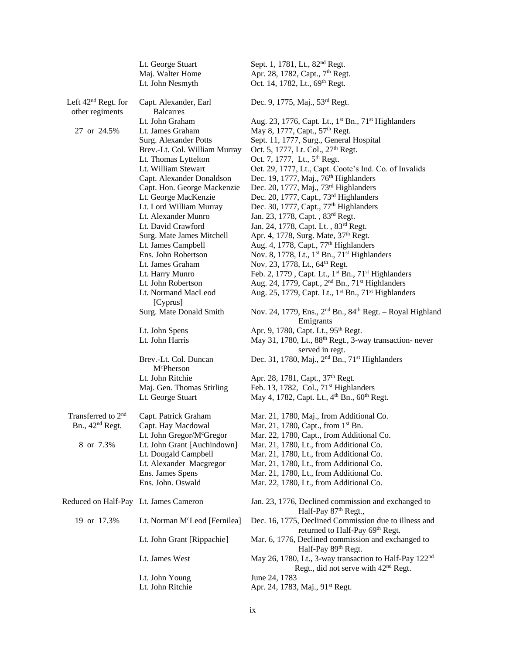|                                                    | Lt. George Stuart<br>Maj. Walter Home<br>Lt. John Nesmyth | Sept. 1, 1781, Lt., 82 <sup>nd</sup> Regt.<br>Apr. 28, 1782, Capt., 7 <sup>th</sup> Regt.<br>Oct. 14, 1782, Lt., 69th Regt. |
|----------------------------------------------------|-----------------------------------------------------------|-----------------------------------------------------------------------------------------------------------------------------|
| Left 42 <sup>nd</sup> Regt. for<br>other regiments | Capt. Alexander, Earl<br><b>Balcarres</b>                 | Dec. 9, 1775, Maj., 53rd Regt.                                                                                              |
|                                                    | Lt. John Graham                                           | Aug. 23, 1776, Capt. Lt., 1 <sup>st</sup> Bn., 71 <sup>st</sup> Highlanders                                                 |
| 27 or 24.5%                                        | Lt. James Graham                                          | May 8, 1777, Capt., 57 <sup>th</sup> Regt.                                                                                  |
|                                                    | Surg. Alexander Potts                                     | Sept. 11, 1777, Surg., General Hospital                                                                                     |
|                                                    | Brev.-Lt. Col. William Murray                             | Oct. 5, 1777, Lt. Col., 27 <sup>th</sup> Regt.                                                                              |
|                                                    | Lt. Thomas Lyttelton                                      | Oct. 7, 1777, Lt., 5 <sup>th</sup> Regt.                                                                                    |
|                                                    | Lt. William Stewart                                       | Oct. 29, 1777, Lt., Capt. Coote's Ind. Co. of Invalids                                                                      |
|                                                    | Capt. Alexander Donaldson                                 | Dec. 19, 1777, Maj., $76th$ Highlanders                                                                                     |
|                                                    | Capt. Hon. George Mackenzie                               | Dec. 20, 1777, Maj., 73rd Highlanders                                                                                       |
|                                                    | Lt. George MacKenzie                                      | Dec. 20, 1777, Capt., 73rd Highlanders                                                                                      |
|                                                    | Lt. Lord William Murray                                   | Dec. 30, 1777, Capt., 77 <sup>th</sup> Highlanders                                                                          |
|                                                    | Lt. Alexander Munro                                       | Jan. 23, 1778, Capt., 83rd Regt.                                                                                            |
|                                                    | Lt. David Crawford                                        | Jan. 24, 1778, Capt. Lt., 83rd Regt.                                                                                        |
|                                                    | Surg. Mate James Mitchell                                 | Apr. 4, 1778, Surg. Mate, 37th Regt.                                                                                        |
|                                                    | Lt. James Campbell                                        | Aug. 4, 1778, Capt., 77 <sup>th</sup> Highlanders                                                                           |
|                                                    | Ens. John Robertson                                       | Nov. 8, 1778, Lt., 1 <sup>st</sup> Bn., 71 <sup>st</sup> Highlanders                                                        |
|                                                    | Lt. James Graham                                          | Nov. 23, 1778, Lt., 64 <sup>th</sup> Regt.                                                                                  |
|                                                    | Lt. Harry Munro                                           | Feb. 2, 1779, Capt. Lt., 1 <sup>st</sup> Bn., 71 <sup>st</sup> Highlanders                                                  |
|                                                    | Lt. John Robertson                                        | Aug. 24, 1779, Capt., 2 <sup>nd</sup> Bn., 71 <sup>st</sup> Highlanders                                                     |
|                                                    | Lt. Normand MacLeod<br>[Cyprus]                           | Aug. 25, 1779, Capt. Lt., 1st Bn., 71st Highlanders                                                                         |
|                                                    | Surg. Mate Donald Smith                                   | Nov. 24, 1779, Ens., 2 <sup>nd</sup> Bn., 84 <sup>th</sup> Regt. - Royal Highland<br>Emigrants                              |
|                                                    | Lt. John Spens                                            | Apr. 9, 1780, Capt. Lt., 95 <sup>th</sup> Regt.                                                                             |
|                                                    | Lt. John Harris                                           | May 31, 1780, Lt., 88 <sup>th</sup> Regt., 3-way transaction- never                                                         |
|                                                    |                                                           | served in regt.                                                                                                             |
|                                                    | Brev.-Lt. Col. Duncan<br>McPherson                        | Dec. 31, 1780, Maj., 2 <sup>nd</sup> Bn., 71 <sup>st</sup> Highlanders                                                      |
|                                                    | Lt. John Ritchie                                          | Apr. 28, 1781, Capt., 37 <sup>th</sup> Regt.                                                                                |
|                                                    | Maj. Gen. Thomas Stirling                                 | Feb. 13, 1782, Col., 71 <sup>st</sup> Highlanders                                                                           |
|                                                    | Lt. George Stuart                                         | May 4, 1782, Capt. Lt., 4 <sup>th</sup> Bn., 60 <sup>th</sup> Regt.                                                         |
| Transferred to 2 <sup>nd</sup>                     | Capt. Patrick Graham                                      | Mar. 21, 1780, Maj., from Additional Co.                                                                                    |
| Bn., 42 <sup>nd</sup> Regt.                        | Capt. Hay Macdowal                                        | Mar. 21, 1780, Capt., from 1 <sup>st</sup> Bn.                                                                              |
|                                                    | Lt. John Gregor/McGregor                                  | Mar. 22, 1780, Capt., from Additional Co.                                                                                   |
| 8 or 7.3%                                          | Lt. John Grant [Auchindown]                               | Mar. 21, 1780, Lt., from Additional Co.                                                                                     |
|                                                    | Lt. Dougald Campbell                                      | Mar. 21, 1780, Lt., from Additional Co.                                                                                     |
|                                                    | Lt. Alexander Macgregor                                   | Mar. 21, 1780, Lt., from Additional Co.                                                                                     |
|                                                    | Ens. James Spens                                          | Mar. 21, 1780, Lt., from Additional Co.                                                                                     |
|                                                    | Ens. John. Oswald                                         | Mar. 22, 1780, Lt., from Additional Co.                                                                                     |
| Reduced on Half-Pay Lt. James Cameron              |                                                           | Jan. 23, 1776, Declined commission and exchanged to<br>Half-Pay 87th Regt.,                                                 |
| 19 or 17.3%                                        | Lt. Norman M <sup>c</sup> Leod [Fernilea]                 | Dec. 16, 1775, Declined Commission due to illness and<br>returned to Half-Pay 69th Regt.                                    |
|                                                    | Lt. John Grant [Rippachie]                                | Mar. 6, 1776, Declined commission and exchanged to<br>Half-Pay 89th Regt.                                                   |
|                                                    | Lt. James West                                            | May 26, 1780, Lt., 3-way transaction to Half-Pay 122 <sup>nd</sup><br>Regt., did not serve with 42 <sup>nd</sup> Regt.      |
|                                                    | Lt. John Young                                            | June 24, 1783                                                                                                               |
|                                                    | Lt. John Ritchie                                          | Apr. 24, 1783, Maj., 91 <sup>st</sup> Regt.                                                                                 |
|                                                    |                                                           |                                                                                                                             |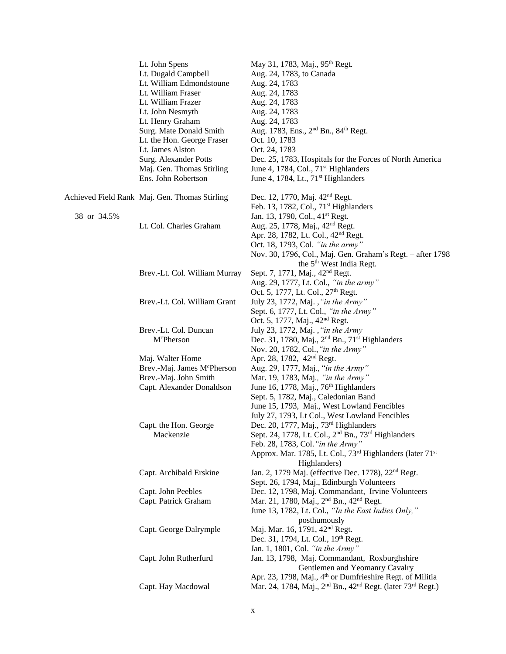|             | Lt. John Spens                                | May 31, 1783, Maj., 95 <sup>th</sup> Regt.                                                                                                                               |
|-------------|-----------------------------------------------|--------------------------------------------------------------------------------------------------------------------------------------------------------------------------|
|             | Lt. Dugald Campbell                           | Aug. 24, 1783, to Canada                                                                                                                                                 |
|             | Lt. William Edmondstoune                      | Aug. 24, 1783                                                                                                                                                            |
|             | Lt. William Fraser                            | Aug. 24, 1783                                                                                                                                                            |
|             | Lt. William Frazer                            | Aug. 24, 1783                                                                                                                                                            |
|             | Lt. John Nesmyth                              | Aug. 24, 1783                                                                                                                                                            |
|             | Lt. Henry Graham                              | Aug. 24, 1783                                                                                                                                                            |
|             | Surg. Mate Donald Smith                       | Aug. 1783, Ens., 2 <sup>nd</sup> Bn., 84 <sup>th</sup> Regt.                                                                                                             |
|             | Lt. the Hon. George Fraser                    | Oct. 10, 1783                                                                                                                                                            |
|             | Lt. James Alston                              | Oct. 24, 1783                                                                                                                                                            |
|             | Surg. Alexander Potts                         | Dec. 25, 1783, Hospitals for the Forces of North America                                                                                                                 |
|             | Maj. Gen. Thomas Stirling                     | June 4, 1784, Col., 71 <sup>st</sup> Highlanders                                                                                                                         |
|             | Ens. John Robertson                           | June 4, 1784, Lt., 71 <sup>st</sup> Highlanders                                                                                                                          |
|             | Achieved Field Rank Maj. Gen. Thomas Stirling | Dec. 12, 1770, Maj. 42 <sup>nd</sup> Regt.                                                                                                                               |
|             |                                               | Feb. 13, 1782, Col., 71 <sup>st</sup> Highlanders                                                                                                                        |
| 38 or 34.5% |                                               | Jan. 13, 1790, Col., 41 <sup>st</sup> Regt.                                                                                                                              |
|             | Lt. Col. Charles Graham                       | Aug. 25, 1778, Maj., 42 <sup>nd</sup> Regt.                                                                                                                              |
|             |                                               | Apr. 28, 1782, Lt. Col., 42 <sup>nd</sup> Regt.                                                                                                                          |
|             |                                               | Oct. 18, 1793, Col. "in the army"                                                                                                                                        |
|             |                                               | Nov. 30, 1796, Col., Maj. Gen. Graham's Regt. - after 1798                                                                                                               |
|             |                                               | the 5 <sup>th</sup> West India Regt.                                                                                                                                     |
|             | Brev.-Lt. Col. William Murray                 | Sept. 7, 1771, Maj., 42 <sup>nd</sup> Regt.                                                                                                                              |
|             |                                               | Aug. 29, 1777, Lt. Col., "in the army"                                                                                                                                   |
|             |                                               | Oct. 5, 1777, Lt. Col., 27 <sup>th</sup> Regt.                                                                                                                           |
|             | Brev.-Lt. Col. William Grant                  | July 23, 1772, Maj., "in the Army"                                                                                                                                       |
|             |                                               | Sept. 6, 1777, Lt. Col., "in the Army"                                                                                                                                   |
|             |                                               | Oct. 5, 1777, Maj., 42 <sup>nd</sup> Regt.                                                                                                                               |
|             | Brev.-Lt. Col. Duncan                         | July 23, 1772, Maj., "in the Army                                                                                                                                        |
|             | McPherson                                     | Dec. 31, 1780, Maj., 2 <sup>nd</sup> Bn., 71 <sup>st</sup> Highlanders                                                                                                   |
|             |                                               | Nov. 20, 1782, Col., "in the Army"                                                                                                                                       |
|             | Maj. Walter Home                              | Apr. 28, 1782, 42 <sup>nd</sup> Regt.                                                                                                                                    |
|             | Brev.-Maj. James McPherson                    | Aug. 29, 1777, Maj., "in the Army"                                                                                                                                       |
|             | Brev.-Maj. John Smith                         | Mar. 19, 1783, Maj., "in the Army"                                                                                                                                       |
|             | Capt. Alexander Donaldson                     | June 16, 1778, Maj., 76 <sup>th</sup> Highlanders                                                                                                                        |
|             |                                               | Sept. 5, 1782, Maj., Caledonian Band                                                                                                                                     |
|             |                                               | June 15, 1793, Maj., West Lowland Fencibles                                                                                                                              |
|             |                                               | July 27, 1793, Lt Col., West Lowland Fencibles                                                                                                                           |
|             | Capt. the Hon. George                         | Dec. 20, 1777, Maj., 73 <sup>rd</sup> Highlanders<br>Sept. 24, 1778, Lt. Col., 2 <sup>nd</sup> Bn., 73 <sup>rd</sup> Highlanders                                         |
|             | Mackenzie                                     | Feb. 28, 1783, Col. "in the Army"                                                                                                                                        |
|             |                                               | Approx. Mar. 1785, Lt. Col., 73 <sup>rd</sup> Highlanders (later 71 <sup>st</sup>                                                                                        |
|             |                                               | Highlanders)                                                                                                                                                             |
|             | Capt. Archibald Erskine                       | Jan. 2, 1779 Maj. (effective Dec. 1778), 22 <sup>nd</sup> Regt.                                                                                                          |
|             |                                               | Sept. 26, 1794, Maj., Edinburgh Volunteers                                                                                                                               |
|             | Capt. John Peebles                            | Dec. 12, 1798, Maj. Commandant, Irvine Volunteers                                                                                                                        |
|             | Capt. Patrick Graham                          | Mar. 21, 1780, Maj., 2 <sup>nd</sup> Bn., 42 <sup>nd</sup> Regt.                                                                                                         |
|             |                                               | June 13, 1782, Lt. Col., "In the East Indies Only,"                                                                                                                      |
|             |                                               | posthumously                                                                                                                                                             |
|             | Capt. George Dalrymple                        | Maj. Mar. 16, 1791, 42 <sup>nd</sup> Regt.                                                                                                                               |
|             |                                               | Dec. 31, 1794, Lt. Col., 19th Regt.                                                                                                                                      |
|             |                                               | Jan. 1, 1801, Col. "in the Army"                                                                                                                                         |
|             | Capt. John Rutherfurd                         | Jan. 13, 1798, Maj. Commandant, Roxburghshire                                                                                                                            |
|             |                                               | Gentlemen and Yeomanry Cavalry                                                                                                                                           |
|             | Capt. Hay Macdowal                            | Apr. 23, 1798, Maj., 4 <sup>th</sup> or Dumfrieshire Regt. of Militia<br>Mar. 24, 1784, Maj., 2 <sup>nd</sup> Bn., 42 <sup>nd</sup> Regt. (later 73 <sup>rd</sup> Regt.) |
|             |                                               |                                                                                                                                                                          |
|             |                                               |                                                                                                                                                                          |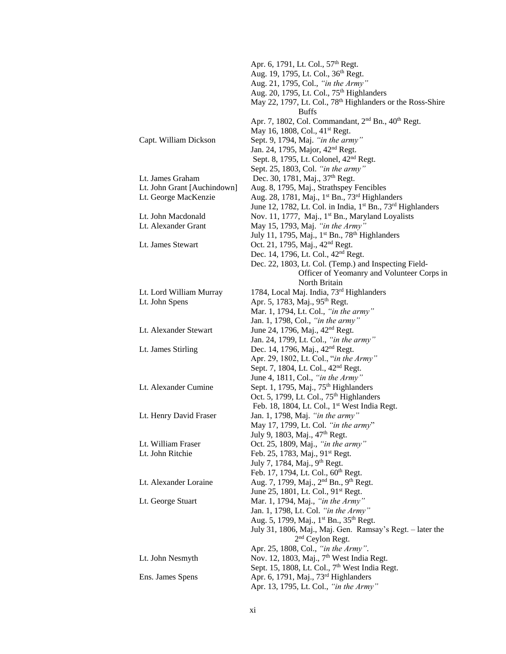|                             | Apr. 6, 1791, Lt. Col., 57 <sup>th</sup> Regt.                                      |
|-----------------------------|-------------------------------------------------------------------------------------|
|                             | Aug. 19, 1795, Lt. Col., 36 <sup>th</sup> Regt.                                     |
|                             | Aug. 21, 1795, Col., "in the Army"                                                  |
|                             | Aug. 20, 1795, Lt. Col., 75 <sup>th</sup> Highlanders                               |
|                             | May 22, 1797, Lt. Col., 78 <sup>th</sup> Highlanders or the Ross-Shire              |
|                             | <b>Buffs</b>                                                                        |
|                             | Apr. 7, 1802, Col. Commandant, 2 <sup>nd</sup> Bn., 40 <sup>th</sup> Regt.          |
|                             | May 16, 1808, Col., 41 <sup>st</sup> Regt.                                          |
| Capt. William Dickson       | Sept. 9, 1794, Maj. "in the army"                                                   |
|                             | Jan. 24, 1795, Major, 42 <sup>nd</sup> Regt.                                        |
|                             | Sept. 8, 1795, Lt. Colonel, 42 <sup>nd</sup> Regt.                                  |
|                             | Sept. 25, 1803, Col. "in the army"                                                  |
| Lt. James Graham            | Dec. 30, 1781, Maj., 37 <sup>th</sup> Regt.                                         |
| Lt. John Grant [Auchindown] | Aug. 8, 1795, Maj., Strathspey Fencibles                                            |
| Lt. George MacKenzie        | Aug. 28, 1781, Maj., 1 <sup>st</sup> Bn., 73 <sup>rd</sup> Highlanders              |
|                             | June 12, 1782, Lt. Col. in India, 1 <sup>st</sup> Bn., 73 <sup>rd</sup> Highlanders |
| Lt. John Macdonald          | Nov. 11, 1777, Maj., 1 <sup>st</sup> Bn., Maryland Loyalists                        |
| Lt. Alexander Grant         | May 15, 1793, Maj. "in the Army"                                                    |
|                             | July 11, 1795, Maj., 1 <sup>st</sup> Bn., 78 <sup>th</sup> Highlanders              |
| Lt. James Stewart           | Oct. 21, 1795, Maj., 42 <sup>nd</sup> Regt.                                         |
|                             | Dec. 14, 1796, Lt. Col., 42 <sup>nd</sup> Regt.                                     |
|                             | Dec. 22, 1803, Lt. Col. (Temp.) and Inspecting Field-                               |
|                             | Officer of Yeomanry and Volunteer Corps in                                          |
|                             | North Britain                                                                       |
| Lt. Lord William Murray     | 1784, Local Maj. India, 73rd Highlanders                                            |
| Lt. John Spens              | Apr. 5, 1783, Maj., 95 <sup>th</sup> Regt.                                          |
|                             | Mar. 1, 1794, Lt. Col., "in the army"                                               |
|                             | Jan. 1, 1798, Col., "in the army"                                                   |
| Lt. Alexander Stewart       | June 24, 1796, Maj., 42 <sup>nd</sup> Regt.                                         |
|                             | Jan. 24, 1799, Lt. Col., "in the army"                                              |
|                             |                                                                                     |
| Lt. James Stirling          | Dec. 14, 1796, Maj., 42 <sup>nd</sup> Regt.                                         |
|                             | Apr. 29, 1802, Lt. Col., "in the Army"                                              |
|                             | Sept. 7, 1804, Lt. Col., 42 <sup>nd</sup> Regt.                                     |
|                             | June 4, 1811, Col., "in the Army"                                                   |
| Lt. Alexander Cumine        | Sept. 1, 1795, Maj., 75 <sup>th</sup> Highlanders                                   |
|                             | Oct. 5, 1799, Lt. Col., 75 <sup>th</sup> Highlanders                                |
|                             | Feb. 18, 1804, Lt. Col., 1st West India Regt.                                       |
| Lt. Henry David Fraser      | Jan. 1, 1798, Maj. "in the army"                                                    |
|                             | May 17, 1799, Lt. Col. "in the army"                                                |
|                             | July 9, 1803, Maj., 47 <sup>th</sup> Regt.                                          |
| Lt. William Fraser          | Oct. 25, 1809, Maj., "in the army"                                                  |
| Lt. John Ritchie            | Feb. 25, 1783, Maj., 91 <sup>st</sup> Regt.                                         |
|                             | July 7, 1784, Maj., 9 <sup>th</sup> Regt.                                           |
|                             | Feb. 17, 1794, Lt. Col., 60 <sup>th</sup> Regt.                                     |
| Lt. Alexander Loraine       | Aug. 7, 1799, Maj., 2 <sup>nd</sup> Bn., 9 <sup>th</sup> Regt.                      |
|                             | June 25, 1801, Lt. Col., 91 <sup>st</sup> Regt.                                     |
| Lt. George Stuart           | Mar. 1, 1794, Maj., "in the Army"                                                   |
|                             | Jan. 1, 1798, Lt. Col. "in the Army"                                                |
|                             | Aug. 5, 1799, Maj., 1 <sup>st</sup> Bn., 35 <sup>th</sup> Regt.                     |
|                             | July 31, 1806, Maj., Maj. Gen. Ramsay's Regt. - later the                           |
|                             | 2 <sup>nd</sup> Ceylon Regt.                                                        |
|                             | Apr. 25, 1808, Col., "in the Army".                                                 |
| Lt. John Nesmyth            | Nov. 12, 1803, Maj., 7 <sup>th</sup> West India Regt.                               |
|                             | Sept. 15, 1808, Lt. Col., 7 <sup>th</sup> West India Regt.                          |
| Ens. James Spens            | Apr. 6, 1791, Maj., 73rd Highlanders                                                |
|                             | Apr. 13, 1795, Lt. Col., "in the Army"                                              |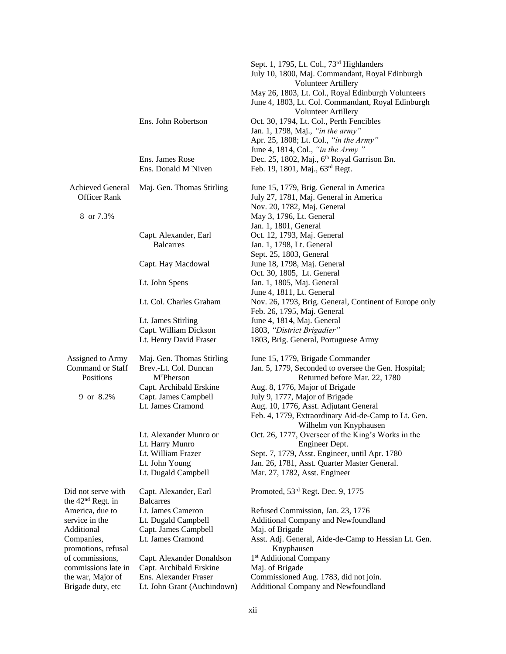|                               |                                  | Sept. 1, 1795, Lt. Col., 73rd Highlanders              |
|-------------------------------|----------------------------------|--------------------------------------------------------|
|                               |                                  | July 10, 1800, Maj. Commandant, Royal Edinburgh        |
|                               |                                  | <b>Volunteer Artillery</b>                             |
|                               |                                  | May 26, 1803, Lt. Col., Royal Edinburgh Volunteers     |
|                               |                                  | June 4, 1803, Lt. Col. Commandant, Royal Edinburgh     |
|                               |                                  | <b>Volunteer Artillery</b>                             |
|                               | Ens. John Robertson              | Oct. 30, 1794, Lt. Col., Perth Fencibles               |
|                               |                                  | Jan. 1, 1798, Maj., "in the army"                      |
|                               |                                  | Apr. 25, 1808; Lt. Col., "in the Army"                 |
|                               |                                  | June 4, 1814, Col., "in the Army"                      |
|                               | Ens. James Rose                  | Dec. 25, 1802, Maj., 6th Royal Garrison Bn.            |
|                               | Ens. Donald M <sup>c</sup> Niven | Feb. 19, 1801, Maj., 63rd Regt.                        |
| <b>Achieved General</b>       | Maj. Gen. Thomas Stirling        | June 15, 1779, Brig. General in America                |
| <b>Officer Rank</b>           |                                  | July 27, 1781, Maj. General in America                 |
|                               |                                  | Nov. 20, 1782, Maj. General                            |
| 8 or 7.3%                     |                                  | May 3, 1796, Lt. General                               |
|                               |                                  | Jan. 1, 1801, General                                  |
|                               | Capt. Alexander, Earl            | Oct. 12, 1793, Maj. General                            |
|                               | <b>Balcarres</b>                 | Jan. 1, 1798, Lt. General                              |
|                               |                                  | Sept. 25, 1803, General                                |
|                               | Capt. Hay Macdowal               | June 18, 1798, Maj. General                            |
|                               |                                  | Oct. 30, 1805, Lt. General                             |
|                               | Lt. John Spens                   | Jan. 1, 1805, Maj. General                             |
|                               |                                  | June 4, 1811, Lt. General                              |
|                               | Lt. Col. Charles Graham          | Nov. 26, 1793, Brig. General, Continent of Europe only |
|                               |                                  | Feb. 26, 1795, Maj. General                            |
|                               | Lt. James Stirling               | June 4, 1814, Maj. General                             |
|                               | Capt. William Dickson            | 1803, "District Brigadier"                             |
|                               | Lt. Henry David Fraser           | 1803, Brig. General, Portuguese Army                   |
| Assigned to Army              | Maj. Gen. Thomas Stirling        | June 15, 1779, Brigade Commander                       |
| Command or Staff              | Brev.-Lt. Col. Duncan            | Jan. 5, 1779, Seconded to oversee the Gen. Hospital;   |
| Positions                     | McPherson                        | Returned before Mar. 22, 1780                          |
|                               | Capt. Archibald Erskine          | Aug. 8, 1776, Major of Brigade                         |
| 9 or 8.2%                     | Capt. James Campbell             | July 9, 1777, Major of Brigade                         |
|                               | Lt. James Cramond                | Aug. 10, 1776, Asst. Adjutant General                  |
|                               |                                  | Feb. 4, 1779, Extraordinary Aid-de-Camp to Lt. Gen.    |
|                               |                                  | Wilhelm von Knyphausen                                 |
|                               | Lt. Alexander Munro or           | Oct. 26, 1777, Overseer of the King's Works in the     |
|                               | Lt. Harry Munro                  | Engineer Dept.                                         |
|                               | Lt. William Frazer               | Sept. 7, 1779, Asst. Engineer, until Apr. 1780         |
|                               | Lt. John Young                   | Jan. 26, 1781, Asst. Quarter Master General.           |
|                               | Lt. Dugald Campbell              | Mar. 27, 1782, Asst. Engineer                          |
| Did not serve with            | Capt. Alexander, Earl            | Promoted, 53 <sup>rd</sup> Regt. Dec. 9, 1775          |
| the 42 <sup>nd</sup> Regt. in | <b>Balcarres</b>                 |                                                        |
| America, due to               | Lt. James Cameron                | Refused Commission, Jan. 23, 1776                      |
| service in the                | Lt. Dugald Campbell              | Additional Company and Newfoundland                    |
| Additional                    | Capt. James Campbell             | Maj. of Brigade                                        |
| Companies,                    | Lt. James Cramond                | Asst. Adj. General, Aide-de-Camp to Hessian Lt. Gen.   |
| promotions, refusal           |                                  | Knyphausen                                             |
| of commissions,               | Capt. Alexander Donaldson        | 1 <sup>st</sup> Additional Company                     |
| commissions late in           | Capt. Archibald Erskine          | Maj. of Brigade                                        |
| the war, Major of             | Ens. Alexander Fraser            | Commissioned Aug. 1783, did not join.                  |
| Brigade duty, etc             | Lt. John Grant (Auchindown)      | Additional Company and Newfoundland                    |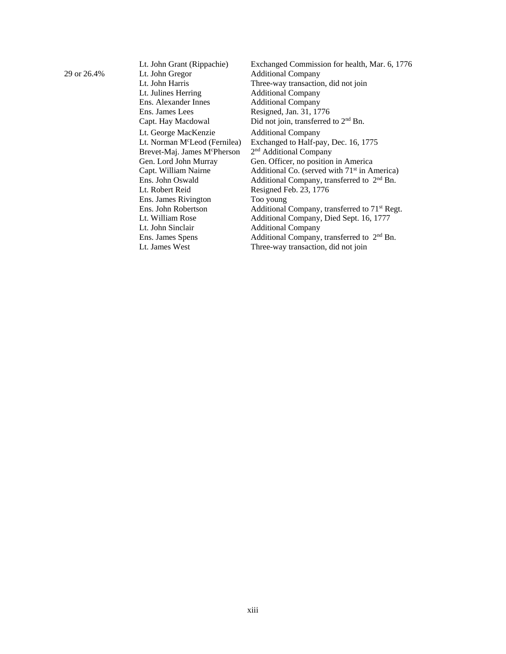|             | Lt. John Grant (Rippachie)                | Exchanged Commission for health, Mar. 6, 1776             |
|-------------|-------------------------------------------|-----------------------------------------------------------|
| 29 or 26.4% | Lt. John Gregor                           | <b>Additional Company</b>                                 |
|             | Lt. John Harris                           | Three-way transaction, did not join                       |
|             | Lt. Julines Herring                       | <b>Additional Company</b>                                 |
|             | Ens. Alexander Innes                      | <b>Additional Company</b>                                 |
|             | Ens. James Lees                           | Resigned, Jan. 31, 1776                                   |
|             | Capt. Hay Macdowal                        | Did not join, transferred to $2nd$ Bn.                    |
|             | Lt. George MacKenzie                      | <b>Additional Company</b>                                 |
|             | Lt. Norman M <sup>c</sup> Leod (Fernilea) | Exchanged to Half-pay, Dec. 16, 1775                      |
|             | Brevet-Maj. James McPherson               | 2 <sup>nd</sup> Additional Company                        |
|             | Gen. Lord John Murray                     | Gen. Officer, no position in America                      |
|             | Capt. William Nairne                      | Additional Co. (served with 71 <sup>st</sup> in America)  |
|             | Ens. John Oswald                          | Additional Company, transferred to 2 <sup>nd</sup> Bn.    |
|             | Lt. Robert Reid                           | Resigned Feb. 23, 1776                                    |
|             | Ens. James Rivington                      | Too young                                                 |
|             | Ens. John Robertson                       | Additional Company, transferred to 71 <sup>st</sup> Regt. |
|             | Lt. William Rose                          | Additional Company, Died Sept. 16, 1777                   |
|             | Lt. John Sinclair                         | <b>Additional Company</b>                                 |
|             | Ens. James Spens                          | Additional Company, transferred to 2 <sup>nd</sup> Bn.    |
|             | Lt. James West                            | Three-way transaction, did not join                       |
|             |                                           |                                                           |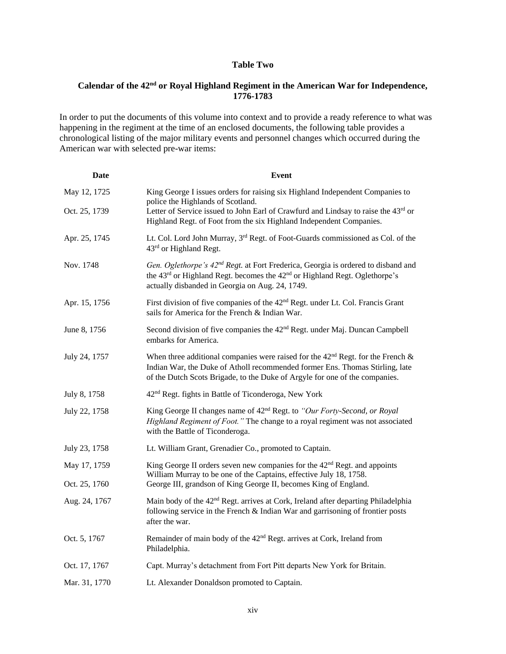#### **Table Two**

### **Calendar of the 42nd or Royal Highland Regiment in the American War for Independence, 1776-1783**

In order to put the documents of this volume into context and to provide a ready reference to what was happening in the regiment at the time of an enclosed documents, the following table provides a chronological listing of the major military events and personnel changes which occurred during the American war with selected pre-war items:

| Date          | <b>Event</b>                                                                                                                                                                                                                                     |
|---------------|--------------------------------------------------------------------------------------------------------------------------------------------------------------------------------------------------------------------------------------------------|
| May 12, 1725  | King George I issues orders for raising six Highland Independent Companies to<br>police the Highlands of Scotland.                                                                                                                               |
| Oct. 25, 1739 | Letter of Service issued to John Earl of Crawfurd and Lindsay to raise the 43rd or<br>Highland Regt. of Foot from the six Highland Independent Companies.                                                                                        |
| Apr. 25, 1745 | Lt. Col. Lord John Murray, 3 <sup>rd</sup> Regt. of Foot-Guards commissioned as Col. of the<br>43rd or Highland Regt.                                                                                                                            |
| Nov. 1748     | Gen. Oglethorpe's 42 <sup>nd</sup> Regt. at Fort Frederica, Georgia is ordered to disband and<br>the 43rd or Highland Regt. becomes the 42 <sup>nd</sup> or Highland Regt. Oglethorpe's<br>actually disbanded in Georgia on Aug. 24, 1749.       |
| Apr. 15, 1756 | First division of five companies of the 42 <sup>nd</sup> Regt. under Lt. Col. Francis Grant<br>sails for America for the French & Indian War.                                                                                                    |
| June 8, 1756  | Second division of five companies the 42 <sup>nd</sup> Regt. under Maj. Duncan Campbell<br>embarks for America.                                                                                                                                  |
| July 24, 1757 | When three additional companies were raised for the $42nd$ Regt. for the French &<br>Indian War, the Duke of Atholl recommended former Ens. Thomas Stirling, late<br>of the Dutch Scots Brigade, to the Duke of Argyle for one of the companies. |
| July 8, 1758  | 42 <sup>nd</sup> Regt. fights in Battle of Ticonderoga, New York                                                                                                                                                                                 |
| July 22, 1758 | King George II changes name of 42 <sup>nd</sup> Regt. to "Our Forty-Second, or Royal<br>Highland Regiment of Foot." The change to a royal regiment was not associated<br>with the Battle of Ticonderoga.                                         |
| July 23, 1758 | Lt. William Grant, Grenadier Co., promoted to Captain.                                                                                                                                                                                           |
| May 17, 1759  | King George II orders seven new companies for the $42nd$ Regt. and appoints<br>William Murray to be one of the Captains, effective July 18, 1758.                                                                                                |
| Oct. 25, 1760 | George III, grandson of King George II, becomes King of England.                                                                                                                                                                                 |
| Aug. 24, 1767 | Main body of the 42 <sup>nd</sup> Regt. arrives at Cork, Ireland after departing Philadelphia<br>following service in the French $\&$ Indian War and garrisoning of frontier posts<br>after the war.                                             |
| Oct. 5, 1767  | Remainder of main body of the 42 <sup>nd</sup> Regt. arrives at Cork, Ireland from<br>Philadelphia.                                                                                                                                              |
| Oct. 17, 1767 | Capt. Murray's detachment from Fort Pitt departs New York for Britain.                                                                                                                                                                           |
| Mar. 31, 1770 | Lt. Alexander Donaldson promoted to Captain.                                                                                                                                                                                                     |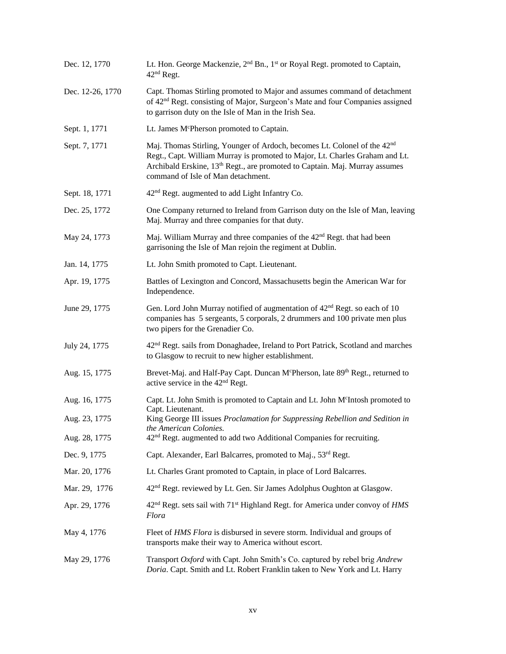| Dec. 12, 1770    | Lt. Hon. George Mackenzie, 2 <sup>nd</sup> Bn., 1 <sup>st</sup> or Royal Regt. promoted to Captain,<br>42 <sup>nd</sup> Regt.                                                                                                                                                                         |
|------------------|-------------------------------------------------------------------------------------------------------------------------------------------------------------------------------------------------------------------------------------------------------------------------------------------------------|
| Dec. 12-26, 1770 | Capt. Thomas Stirling promoted to Major and assumes command of detachment<br>of 42 <sup>nd</sup> Regt. consisting of Major, Surgeon's Mate and four Companies assigned<br>to garrison duty on the Isle of Man in the Irish Sea.                                                                       |
| Sept. 1, 1771    | Lt. James McPherson promoted to Captain.                                                                                                                                                                                                                                                              |
| Sept. 7, 1771    | Maj. Thomas Stirling, Younger of Ardoch, becomes Lt. Colonel of the 42 <sup>nd</sup><br>Regt., Capt. William Murray is promoted to Major, Lt. Charles Graham and Lt.<br>Archibald Erskine, 13 <sup>th</sup> Regt., are promoted to Captain. Maj. Murray assumes<br>command of Isle of Man detachment. |
| Sept. 18, 1771   | 42 <sup>nd</sup> Regt. augmented to add Light Infantry Co.                                                                                                                                                                                                                                            |
| Dec. 25, 1772    | One Company returned to Ireland from Garrison duty on the Isle of Man, leaving<br>Maj. Murray and three companies for that duty.                                                                                                                                                                      |
| May 24, 1773     | Maj. William Murray and three companies of the 42 <sup>nd</sup> Regt. that had been<br>garrisoning the Isle of Man rejoin the regiment at Dublin.                                                                                                                                                     |
| Jan. 14, 1775    | Lt. John Smith promoted to Capt. Lieutenant.                                                                                                                                                                                                                                                          |
| Apr. 19, 1775    | Battles of Lexington and Concord, Massachusetts begin the American War for<br>Independence.                                                                                                                                                                                                           |
| June 29, 1775    | Gen. Lord John Murray notified of augmentation of 42 <sup>nd</sup> Regt. so each of 10<br>companies has 5 sergeants, 5 corporals, 2 drummers and 100 private men plus<br>two pipers for the Grenadier Co.                                                                                             |
| July 24, 1775    | 42 <sup>nd</sup> Regt. sails from Donaghadee, Ireland to Port Patrick, Scotland and marches<br>to Glasgow to recruit to new higher establishment.                                                                                                                                                     |
| Aug. 15, 1775    | Brevet-Maj. and Half-Pay Capt. Duncan McPherson, late 89th Regt., returned to<br>active service in the 42 <sup>nd</sup> Regt.                                                                                                                                                                         |
| Aug. 16, 1775    | Capt. Lt. John Smith is promoted to Captain and Lt. John McIntosh promoted to                                                                                                                                                                                                                         |
| Aug. 23, 1775    | Capt. Lieutenant.<br>King George III issues Proclamation for Suppressing Rebellion and Sedition in<br>the American Colonies.                                                                                                                                                                          |
| Aug. 28, 1775    | $42nd$ Regt. augmented to add two Additional Companies for recruiting.                                                                                                                                                                                                                                |
| Dec. 9, 1775     | Capt. Alexander, Earl Balcarres, promoted to Maj., 53rd Regt.                                                                                                                                                                                                                                         |
| Mar. 20, 1776    | Lt. Charles Grant promoted to Captain, in place of Lord Balcarres.                                                                                                                                                                                                                                    |
| Mar. 29, 1776    | 42 <sup>nd</sup> Regt. reviewed by Lt. Gen. Sir James Adolphus Oughton at Glasgow.                                                                                                                                                                                                                    |
| Apr. 29, 1776    | 42 <sup>nd</sup> Regt. sets sail with 71 <sup>st</sup> Highland Regt. for America under convoy of HMS<br>Flora                                                                                                                                                                                        |
| May 4, 1776      | Fleet of HMS Flora is disbursed in severe storm. Individual and groups of<br>transports make their way to America without escort.                                                                                                                                                                     |
| May 29, 1776     | Transport Oxford with Capt. John Smith's Co. captured by rebel brig Andrew<br>Doria. Capt. Smith and Lt. Robert Franklin taken to New York and Lt. Harry                                                                                                                                              |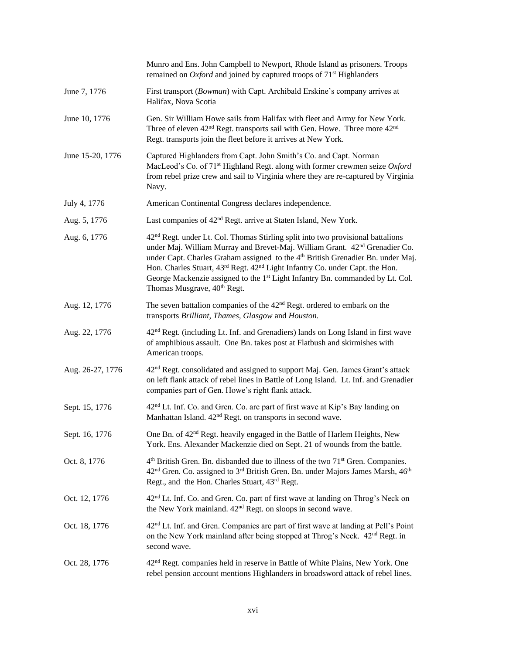|                  | Munro and Ens. John Campbell to Newport, Rhode Island as prisoners. Troops<br>remained on <i>Oxford</i> and joined by captured troops of $71st$ Highlanders                                                                                                                                                                                                                                                                                                                                                                           |
|------------------|---------------------------------------------------------------------------------------------------------------------------------------------------------------------------------------------------------------------------------------------------------------------------------------------------------------------------------------------------------------------------------------------------------------------------------------------------------------------------------------------------------------------------------------|
| June 7, 1776     | First transport (Bowman) with Capt. Archibald Erskine's company arrives at<br>Halifax, Nova Scotia                                                                                                                                                                                                                                                                                                                                                                                                                                    |
| June 10, 1776    | Gen. Sir William Howe sails from Halifax with fleet and Army for New York.<br>Three of eleven $42nd$ Regt. transports sail with Gen. Howe. Three more $42nd$<br>Regt. transports join the fleet before it arrives at New York.                                                                                                                                                                                                                                                                                                        |
| June 15-20, 1776 | Captured Highlanders from Capt. John Smith's Co. and Capt. Norman<br>MacLeod's Co. of 71 <sup>st</sup> Highland Regt. along with former crewmen seize Oxford<br>from rebel prize crew and sail to Virginia where they are re-captured by Virginia<br>Navy.                                                                                                                                                                                                                                                                            |
| July 4, 1776     | American Continental Congress declares independence.                                                                                                                                                                                                                                                                                                                                                                                                                                                                                  |
| Aug. 5, 1776     | Last companies of 42 <sup>nd</sup> Regt. arrive at Staten Island, New York.                                                                                                                                                                                                                                                                                                                                                                                                                                                           |
| Aug. 6, 1776     | 42 <sup>nd</sup> Regt. under Lt. Col. Thomas Stirling split into two provisional battalions<br>under Maj. William Murray and Brevet-Maj. William Grant. 42 <sup>nd</sup> Grenadier Co.<br>under Capt. Charles Graham assigned to the 4 <sup>th</sup> British Grenadier Bn. under Maj.<br>Hon. Charles Stuart, 43 <sup>rd</sup> Regt. 42 <sup>nd</sup> Light Infantry Co. under Capt. the Hon.<br>George Mackenzie assigned to the 1 <sup>st</sup> Light Infantry Bn. commanded by Lt. Col.<br>Thomas Musgrave, 40 <sup>th</sup> Regt. |
| Aug. 12, 1776    | The seven battalion companies of the $42nd$ Regt. ordered to embark on the<br>transports Brilliant, Thames, Glasgow and Houston.                                                                                                                                                                                                                                                                                                                                                                                                      |
| Aug. 22, 1776    | 42 <sup>nd</sup> Regt. (including Lt. Inf. and Grenadiers) lands on Long Island in first wave<br>of amphibious assault. One Bn. takes post at Flatbush and skirmishes with<br>American troops.                                                                                                                                                                                                                                                                                                                                        |
| Aug. 26-27, 1776 | 42 <sup>nd</sup> Regt. consolidated and assigned to support Maj. Gen. James Grant's attack<br>on left flank attack of rebel lines in Battle of Long Island. Lt. Inf. and Grenadier<br>companies part of Gen. Howe's right flank attack.                                                                                                                                                                                                                                                                                               |
| Sept. 15, 1776   | 42 <sup>nd</sup> Lt. Inf. Co. and Gren. Co. are part of first wave at Kip's Bay landing on<br>Manhattan Island. 42 <sup>nd</sup> Regt. on transports in second wave.                                                                                                                                                                                                                                                                                                                                                                  |
| Sept. 16, 1776   | One Bn. of 42 <sup>nd</sup> Regt. heavily engaged in the Battle of Harlem Heights, New<br>York. Ens. Alexander Mackenzie died on Sept. 21 of wounds from the battle.                                                                                                                                                                                                                                                                                                                                                                  |
| Oct. 8, 1776     | 4 <sup>th</sup> British Gren. Bn. disbanded due to illness of the two 71 <sup>st</sup> Gren. Companies.<br>42 <sup>nd</sup> Gren. Co. assigned to 3 <sup>rd</sup> British Gren. Bn. under Majors James Marsh, 46 <sup>th</sup><br>Regt., and the Hon. Charles Stuart, 43rd Regt.                                                                                                                                                                                                                                                      |
| Oct. 12, 1776    | 42 <sup>nd</sup> Lt. Inf. Co. and Gren. Co. part of first wave at landing on Throg's Neck on<br>the New York mainland. 42 <sup>nd</sup> Regt. on sloops in second wave.                                                                                                                                                                                                                                                                                                                                                               |
| Oct. 18, 1776    | 42 <sup>nd</sup> Lt. Inf. and Gren. Companies are part of first wave at landing at Pell's Point<br>on the New York mainland after being stopped at Throg's Neck. 42 <sup>nd</sup> Regt. in<br>second wave.                                                                                                                                                                                                                                                                                                                            |
| Oct. 28, 1776    | 42 <sup>nd</sup> Regt. companies held in reserve in Battle of White Plains, New York. One<br>rebel pension account mentions Highlanders in broadsword attack of rebel lines.                                                                                                                                                                                                                                                                                                                                                          |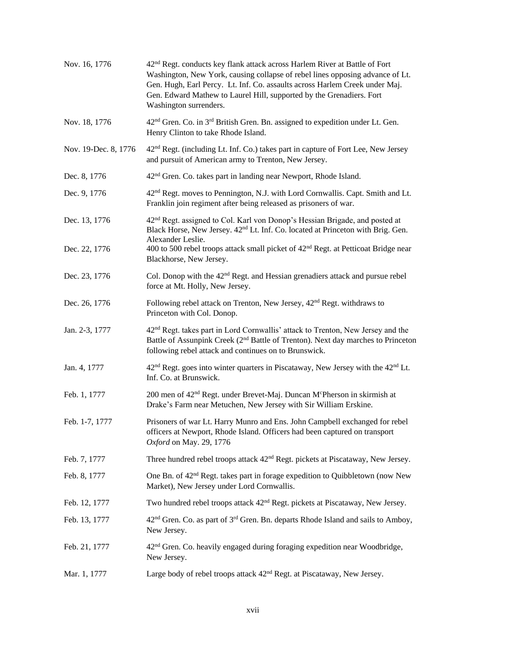| Nov. 16, 1776        | 42 <sup>nd</sup> Regt. conducts key flank attack across Harlem River at Battle of Fort<br>Washington, New York, causing collapse of rebel lines opposing advance of Lt.<br>Gen. Hugh, Earl Percy. Lt. Inf. Co. assaults across Harlem Creek under Maj.<br>Gen. Edward Mathew to Laurel Hill, supported by the Grenadiers. Fort<br>Washington surrenders. |
|----------------------|----------------------------------------------------------------------------------------------------------------------------------------------------------------------------------------------------------------------------------------------------------------------------------------------------------------------------------------------------------|
| Nov. 18, 1776        | 42 <sup>nd</sup> Gren. Co. in 3 <sup>rd</sup> British Gren. Bn. assigned to expedition under Lt. Gen.<br>Henry Clinton to take Rhode Island.                                                                                                                                                                                                             |
| Nov. 19-Dec. 8, 1776 | 42 <sup>nd</sup> Regt. (including Lt. Inf. Co.) takes part in capture of Fort Lee, New Jersey<br>and pursuit of American army to Trenton, New Jersey.                                                                                                                                                                                                    |
| Dec. 8, 1776         | 42 <sup>nd</sup> Gren. Co. takes part in landing near Newport, Rhode Island.                                                                                                                                                                                                                                                                             |
| Dec. 9, 1776         | 42 <sup>nd</sup> Regt. moves to Pennington, N.J. with Lord Cornwallis. Capt. Smith and Lt.<br>Franklin join regiment after being released as prisoners of war.                                                                                                                                                                                           |
| Dec. 13, 1776        | 42 <sup>nd</sup> Regt. assigned to Col. Karl von Donop's Hessian Brigade, and posted at<br>Black Horse, New Jersey. 42 <sup>nd</sup> Lt. Inf. Co. located at Princeton with Brig. Gen.<br>Alexander Leslie.                                                                                                                                              |
| Dec. 22, 1776        | 400 to 500 rebel troops attack small picket of 42 <sup>nd</sup> Regt. at Petticoat Bridge near<br>Blackhorse, New Jersey.                                                                                                                                                                                                                                |
| Dec. 23, 1776        | Col. Donop with the 42 <sup>nd</sup> Regt. and Hessian grenadiers attack and pursue rebel<br>force at Mt. Holly, New Jersey.                                                                                                                                                                                                                             |
| Dec. 26, 1776        | Following rebel attack on Trenton, New Jersey, 42 <sup>nd</sup> Regt. withdraws to<br>Princeton with Col. Donop.                                                                                                                                                                                                                                         |
| Jan. 2-3, 1777       | 42 <sup>nd</sup> Regt. takes part in Lord Cornwallis' attack to Trenton, New Jersey and the<br>Battle of Assunpink Creek (2 <sup>nd</sup> Battle of Trenton). Next day marches to Princeton<br>following rebel attack and continues on to Brunswick.                                                                                                     |
| Jan. 4, 1777         | 42 <sup>nd</sup> Regt. goes into winter quarters in Piscataway, New Jersey with the 42 <sup>nd</sup> Lt.<br>Inf. Co. at Brunswick.                                                                                                                                                                                                                       |
| Feb. 1, 1777         | 200 men of 42 <sup>nd</sup> Regt. under Brevet-Maj. Duncan M <sup>c</sup> Pherson in skirmish at<br>Drake's Farm near Metuchen, New Jersey with Sir William Erskine.                                                                                                                                                                                     |
| Feb. 1-7, 1777       | Prisoners of war Lt. Harry Munro and Ens. John Campbell exchanged for rebel<br>officers at Newport, Rhode Island. Officers had been captured on transport<br>Oxford on May. 29, 1776                                                                                                                                                                     |
| Feb. 7, 1777         | Three hundred rebel troops attack 42 <sup>nd</sup> Regt. pickets at Piscataway, New Jersey.                                                                                                                                                                                                                                                              |
| Feb. 8, 1777         | One Bn. of 42 <sup>nd</sup> Regt. takes part in forage expedition to Quibbletown (now New<br>Market), New Jersey under Lord Cornwallis.                                                                                                                                                                                                                  |
| Feb. 12, 1777        | Two hundred rebel troops attack 42 <sup>nd</sup> Regt. pickets at Piscataway, New Jersey.                                                                                                                                                                                                                                                                |
| Feb. 13, 1777        | 42 <sup>nd</sup> Gren. Co. as part of 3 <sup>rd</sup> Gren. Bn. departs Rhode Island and sails to Amboy,<br>New Jersey.                                                                                                                                                                                                                                  |
| Feb. 21, 1777        | 42 <sup>nd</sup> Gren. Co. heavily engaged during foraging expedition near Woodbridge,<br>New Jersey.                                                                                                                                                                                                                                                    |
| Mar. 1, 1777         | Large body of rebel troops attack 42 <sup>nd</sup> Regt. at Piscataway, New Jersey.                                                                                                                                                                                                                                                                      |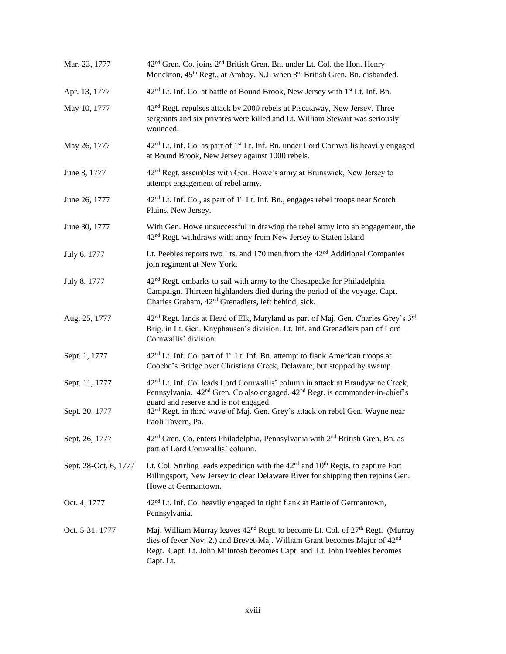| Mar. 23, 1777         | 42 <sup>nd</sup> Gren. Co. joins 2 <sup>nd</sup> British Gren. Bn. under Lt. Col. the Hon. Henry<br>Monckton, 45 <sup>th</sup> Regt., at Amboy. N.J. when 3 <sup>rd</sup> British Gren. Bn. disbanded.                                                                                                 |
|-----------------------|--------------------------------------------------------------------------------------------------------------------------------------------------------------------------------------------------------------------------------------------------------------------------------------------------------|
| Apr. 13, 1777         | 42 <sup>nd</sup> Lt. Inf. Co. at battle of Bound Brook, New Jersey with 1 <sup>st</sup> Lt. Inf. Bn.                                                                                                                                                                                                   |
| May 10, 1777          | 42 <sup>nd</sup> Regt. repulses attack by 2000 rebels at Piscataway, New Jersey. Three<br>sergeants and six privates were killed and Lt. William Stewart was seriously<br>wounded.                                                                                                                     |
| May 26, 1777          | 42 <sup>nd</sup> Lt. Inf. Co. as part of 1 <sup>st</sup> Lt. Inf. Bn. under Lord Cornwallis heavily engaged<br>at Bound Brook, New Jersey against 1000 rebels.                                                                                                                                         |
| June 8, 1777          | $42nd$ Regt. assembles with Gen. Howe's army at Brunswick, New Jersey to<br>attempt engagement of rebel army.                                                                                                                                                                                          |
| June 26, 1777         | 42 <sup>nd</sup> Lt. Inf. Co., as part of 1 <sup>st</sup> Lt. Inf. Bn., engages rebel troops near Scotch<br>Plains, New Jersey.                                                                                                                                                                        |
| June 30, 1777         | With Gen. Howe unsuccessful in drawing the rebel army into an engagement, the<br>42 <sup>nd</sup> Regt. withdraws with army from New Jersey to Staten Island                                                                                                                                           |
| July 6, 1777          | Lt. Peebles reports two Lts. and 170 men from the 42 <sup>nd</sup> Additional Companies<br>join regiment at New York.                                                                                                                                                                                  |
| July 8, 1777          | 42 <sup>nd</sup> Regt. embarks to sail with army to the Chesapeake for Philadelphia<br>Campaign. Thirteen highlanders died during the period of the voyage. Capt.<br>Charles Graham, 42 <sup>nd</sup> Grenadiers, left behind, sick.                                                                   |
| Aug. 25, 1777         | 42 <sup>nd</sup> Regt. lands at Head of Elk, Maryland as part of Maj. Gen. Charles Grey's 3 <sup>rd</sup><br>Brig. in Lt. Gen. Knyphausen's division. Lt. Inf. and Grenadiers part of Lord<br>Cornwallis' division.                                                                                    |
| Sept. 1, 1777         | 42 <sup>nd</sup> Lt. Inf. Co. part of 1 <sup>st</sup> Lt. Inf. Bn. attempt to flank American troops at<br>Cooche's Bridge over Christiana Creek, Delaware, but stopped by swamp.                                                                                                                       |
| Sept. 11, 1777        | 42 <sup>nd</sup> Lt. Inf. Co. leads Lord Cornwallis' column in attack at Brandywine Creek,<br>Pennsylvania. 42 <sup>nd</sup> Gren. Co also engaged. 42 <sup>nd</sup> Regt. is commander-in-chief's<br>guard and reserve and is not engaged.                                                            |
| Sept. 20, 1777        | 42 <sup>nd</sup> Regt. in third wave of Maj. Gen. Grey's attack on rebel Gen. Wayne near<br>Paoli Tavern, Pa.                                                                                                                                                                                          |
| Sept. 26, 1777        | 42 <sup>nd</sup> Gren. Co. enters Philadelphia, Pennsylvania with 2 <sup>nd</sup> British Gren. Bn. as<br>part of Lord Cornwallis' column.                                                                                                                                                             |
| Sept. 28-Oct. 6, 1777 | Lt. Col. Stirling leads expedition with the 42 <sup>nd</sup> and 10 <sup>th</sup> Regts. to capture Fort<br>Billingsport, New Jersey to clear Delaware River for shipping then rejoins Gen.<br>Howe at Germantown.                                                                                     |
| Oct. 4, 1777          | 42 <sup>nd</sup> Lt. Inf. Co. heavily engaged in right flank at Battle of Germantown,<br>Pennsylvania.                                                                                                                                                                                                 |
| Oct. 5-31, 1777       | Maj. William Murray leaves 42 <sup>nd</sup> Regt. to become Lt. Col. of 27 <sup>th</sup> Regt. (Murray<br>dies of fever Nov. 2.) and Brevet-Maj. William Grant becomes Major of 42 <sup>nd</sup><br>Regt. Capt. Lt. John M <sup>c</sup> Intosh becomes Capt. and Lt. John Peebles becomes<br>Capt. Lt. |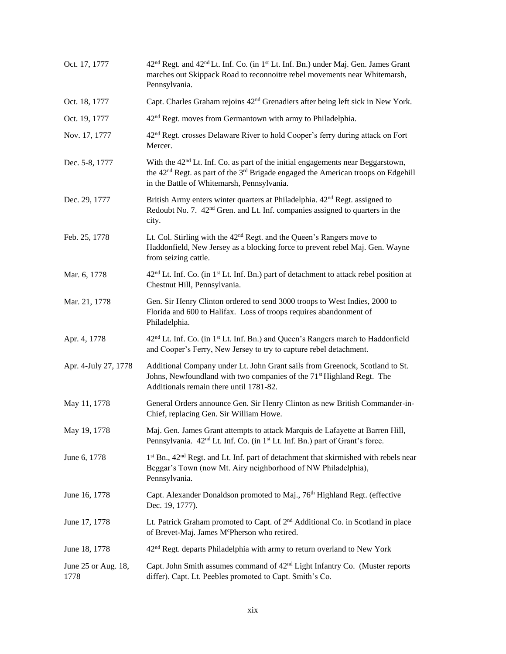| Oct. 17, 1777               | 42 <sup>nd</sup> Regt. and 42 <sup>nd</sup> Lt. Inf. Co. (in 1 <sup>st</sup> Lt. Inf. Bn.) under Maj. Gen. James Grant<br>marches out Skippack Road to reconnoitre rebel movements near Whitemarsh,<br>Pennsylvania.                                   |
|-----------------------------|--------------------------------------------------------------------------------------------------------------------------------------------------------------------------------------------------------------------------------------------------------|
| Oct. 18, 1777               | Capt. Charles Graham rejoins 42 <sup>nd</sup> Grenadiers after being left sick in New York.                                                                                                                                                            |
| Oct. 19, 1777               | 42 <sup>nd</sup> Regt. moves from Germantown with army to Philadelphia.                                                                                                                                                                                |
| Nov. 17, 1777               | 42 <sup>nd</sup> Regt. crosses Delaware River to hold Cooper's ferry during attack on Fort<br>Mercer.                                                                                                                                                  |
| Dec. 5-8, 1777              | With the 42 <sup>nd</sup> Lt. Inf. Co. as part of the initial engagements near Beggarstown,<br>the 42 <sup>nd</sup> Regt. as part of the 3 <sup>rd</sup> Brigade engaged the American troops on Edgehill<br>in the Battle of Whitemarsh, Pennsylvania. |
| Dec. 29, 1777               | British Army enters winter quarters at Philadelphia. 42 <sup>nd</sup> Regt. assigned to<br>Redoubt No. 7. 42 <sup>nd</sup> Gren. and Lt. Inf. companies assigned to quarters in the<br>city.                                                           |
| Feb. 25, 1778               | Lt. Col. Stirling with the 42 <sup>nd</sup> Regt. and the Queen's Rangers move to<br>Haddonfield, New Jersey as a blocking force to prevent rebel Maj. Gen. Wayne<br>from seizing cattle.                                                              |
| Mar. 6, 1778                | $42nd$ Lt. Inf. Co. (in 1 <sup>st</sup> Lt. Inf. Bn.) part of detachment to attack rebel position at<br>Chestnut Hill, Pennsylvania.                                                                                                                   |
| Mar. 21, 1778               | Gen. Sir Henry Clinton ordered to send 3000 troops to West Indies, 2000 to<br>Florida and 600 to Halifax. Loss of troops requires abandonment of<br>Philadelphia.                                                                                      |
| Apr. 4, 1778                | 42 <sup>nd</sup> Lt. Inf. Co. (in 1 <sup>st</sup> Lt. Inf. Bn.) and Queen's Rangers march to Haddonfield<br>and Cooper's Ferry, New Jersey to try to capture rebel detachment.                                                                         |
| Apr. 4-July 27, 1778        | Additional Company under Lt. John Grant sails from Greenock, Scotland to St.<br>Johns, Newfoundland with two companies of the 71 <sup>st</sup> Highland Regt. The<br>Additionals remain there until 1781-82.                                           |
| May 11, 1778                | General Orders announce Gen. Sir Henry Clinton as new British Commander-in-<br>Chief, replacing Gen. Sir William Howe.                                                                                                                                 |
| May 19, 1778                | Maj. Gen. James Grant attempts to attack Marquis de Lafayette at Barren Hill,<br>Pennsylvania. 42 <sup>nd</sup> Lt. Inf. Co. (in 1 <sup>st</sup> Lt. Inf. Bn.) part of Grant's force.                                                                  |
| June 6, 1778                | 1 <sup>st</sup> Bn., 42 <sup>nd</sup> Regt. and Lt. Inf. part of detachment that skirmished with rebels near<br>Beggar's Town (now Mt. Airy neighborhood of NW Philadelphia),<br>Pennsylvania.                                                         |
| June 16, 1778               | Capt. Alexander Donaldson promoted to Maj., 76 <sup>th</sup> Highland Regt. (effective<br>Dec. 19, 1777).                                                                                                                                              |
| June 17, 1778               | Lt. Patrick Graham promoted to Capt. of 2 <sup>nd</sup> Additional Co. in Scotland in place<br>of Brevet-Maj. James McPherson who retired.                                                                                                             |
| June 18, 1778               | 42 <sup>nd</sup> Regt. departs Philadelphia with army to return overland to New York                                                                                                                                                                   |
| June 25 or Aug. 18,<br>1778 | Capt. John Smith assumes command of 42 <sup>nd</sup> Light Infantry Co. (Muster reports<br>differ). Capt. Lt. Peebles promoted to Capt. Smith's Co.                                                                                                    |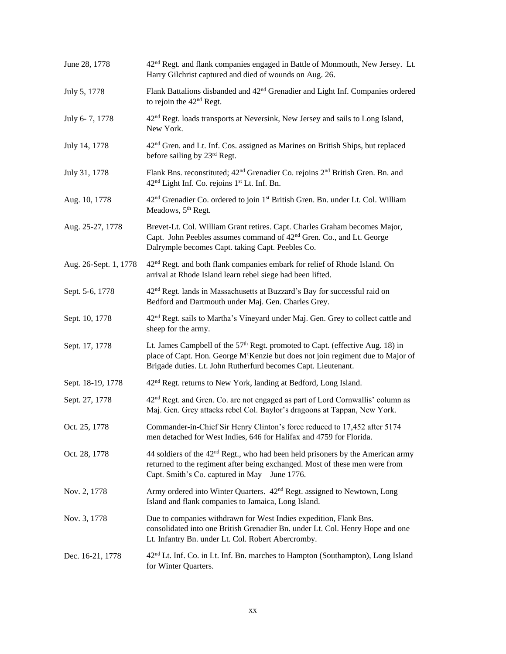| June 28, 1778         | 42 <sup>nd</sup> Regt. and flank companies engaged in Battle of Monmouth, New Jersey. Lt.<br>Harry Gilchrist captured and died of wounds on Aug. 26.                                                                                                      |
|-----------------------|-----------------------------------------------------------------------------------------------------------------------------------------------------------------------------------------------------------------------------------------------------------|
| July 5, 1778          | Flank Battalions disbanded and 42 <sup>nd</sup> Grenadier and Light Inf. Companies ordered<br>to rejoin the 42 <sup>nd</sup> Regt.                                                                                                                        |
| July 6-7, 1778        | 42 <sup>nd</sup> Regt. loads transports at Neversink, New Jersey and sails to Long Island,<br>New York.                                                                                                                                                   |
| July 14, 1778         | 42 <sup>nd</sup> Gren. and Lt. Inf. Cos. assigned as Marines on British Ships, but replaced<br>before sailing by 23rd Regt.                                                                                                                               |
| July 31, 1778         | Flank Bns. reconstituted; 42 <sup>nd</sup> Grenadier Co. rejoins 2 <sup>nd</sup> British Gren. Bn. and<br>42 <sup>nd</sup> Light Inf. Co. rejoins 1 <sup>st</sup> Lt. Inf. Bn.                                                                            |
| Aug. 10, 1778         | 42 <sup>nd</sup> Grenadier Co. ordered to join 1 <sup>st</sup> British Gren. Bn. under Lt. Col. William<br>Meadows, 5 <sup>th</sup> Regt.                                                                                                                 |
| Aug. 25-27, 1778      | Brevet-Lt. Col. William Grant retires. Capt. Charles Graham becomes Major,<br>Capt. John Peebles assumes command of 42 <sup>nd</sup> Gren. Co., and Lt. George<br>Dalrymple becomes Capt. taking Capt. Peebles Co.                                        |
| Aug. 26-Sept. 1, 1778 | 42 <sup>nd</sup> Regt. and both flank companies embark for relief of Rhode Island. On<br>arrival at Rhode Island learn rebel siege had been lifted.                                                                                                       |
| Sept. 5-6, 1778       | 42 <sup>nd</sup> Regt. lands in Massachusetts at Buzzard's Bay for successful raid on<br>Bedford and Dartmouth under Maj. Gen. Charles Grey.                                                                                                              |
| Sept. 10, 1778        | 42 <sup>nd</sup> Regt. sails to Martha's Vineyard under Maj. Gen. Grey to collect cattle and<br>sheep for the army.                                                                                                                                       |
| Sept. 17, 1778        | Lt. James Campbell of the 57 <sup>th</sup> Regt. promoted to Capt. (effective Aug. 18) in<br>place of Capt. Hon. George M <sup>c</sup> Kenzie but does not join regiment due to Major of<br>Brigade duties. Lt. John Rutherfurd becomes Capt. Lieutenant. |
| Sept. 18-19, 1778     | 42 <sup>nd</sup> Regt. returns to New York, landing at Bedford, Long Island.                                                                                                                                                                              |
| Sept. 27, 1778        | 42 <sup>nd</sup> Regt. and Gren. Co. are not engaged as part of Lord Cornwallis' column as<br>Maj. Gen. Grey attacks rebel Col. Baylor's dragoons at Tappan, New York.                                                                                    |
| Oct. 25, 1778         | Commander-in-Chief Sir Henry Clinton's force reduced to 17,452 after 5174<br>men detached for West Indies, 646 for Halifax and 4759 for Florida.                                                                                                          |
| Oct. 28, 1778         | 44 soldiers of the 42 <sup>nd</sup> Regt., who had been held prisoners by the American army<br>returned to the regiment after being exchanged. Most of these men were from<br>Capt. Smith's Co. captured in May - June 1776.                              |
| Nov. 2, 1778          | Army ordered into Winter Quarters. 42 <sup>nd</sup> Regt. assigned to Newtown, Long<br>Island and flank companies to Jamaica, Long Island.                                                                                                                |
| Nov. 3, 1778          | Due to companies withdrawn for West Indies expedition, Flank Bns.<br>consolidated into one British Grenadier Bn. under Lt. Col. Henry Hope and one<br>Lt. Infantry Bn. under Lt. Col. Robert Abercromby.                                                  |
| Dec. 16-21, 1778      | 42 <sup>nd</sup> Lt. Inf. Co. in Lt. Inf. Bn. marches to Hampton (Southampton), Long Island<br>for Winter Quarters.                                                                                                                                       |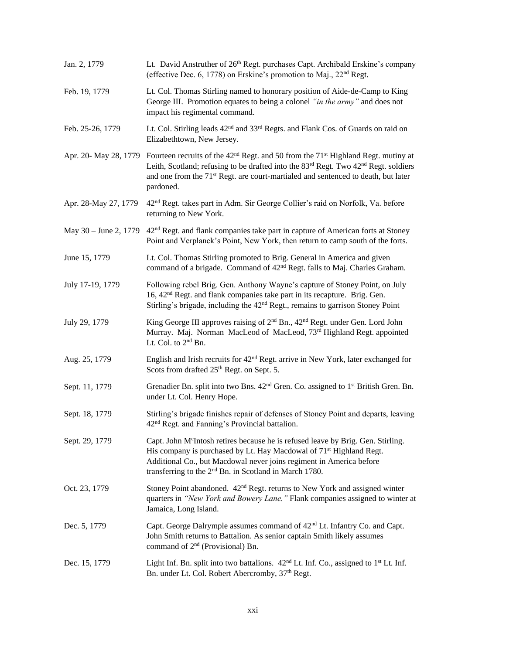| Jan. 2, 1779          | Lt. David Anstruther of 26th Regt. purchases Capt. Archibald Erskine's company<br>(effective Dec. 6, 1778) on Erskine's promotion to Maj., 22 <sup>nd</sup> Regt.                                                                                                                                                                                            |
|-----------------------|--------------------------------------------------------------------------------------------------------------------------------------------------------------------------------------------------------------------------------------------------------------------------------------------------------------------------------------------------------------|
| Feb. 19, 1779         | Lt. Col. Thomas Stirling named to honorary position of Aide-de-Camp to King<br>George III. Promotion equates to being a colonel "in the army" and does not<br>impact his regimental command.                                                                                                                                                                 |
| Feb. 25-26, 1779      | Lt. Col. Stirling leads 42 <sup>nd</sup> and 33 <sup>rd</sup> Regts. and Flank Cos. of Guards on raid on<br>Elizabethtown, New Jersey.                                                                                                                                                                                                                       |
|                       | Apr. 20- May 28, 1779 Fourteen recruits of the 42 <sup>nd</sup> Regt. and 50 from the 71 <sup>st</sup> Highland Regt. mutiny at<br>Leith, Scotland; refusing to be drafted into the 83 <sup>rd</sup> Regt. Two 42 <sup>nd</sup> Regt. soldiers<br>and one from the 71 <sup>st</sup> Regt. are court-martialed and sentenced to death, but later<br>pardoned. |
| Apr. 28-May 27, 1779  | 42 <sup>nd</sup> Regt. takes part in Adm. Sir George Collier's raid on Norfolk, Va. before<br>returning to New York.                                                                                                                                                                                                                                         |
| May 30 – June 2, 1779 | 42 <sup>nd</sup> Regt. and flank companies take part in capture of American forts at Stoney<br>Point and Verplanck's Point, New York, then return to camp south of the forts.                                                                                                                                                                                |
| June 15, 1779         | Lt. Col. Thomas Stirling promoted to Brig. General in America and given<br>command of a brigade. Command of 42 <sup>nd</sup> Regt. falls to Maj. Charles Graham.                                                                                                                                                                                             |
| July 17-19, 1779      | Following rebel Brig. Gen. Anthony Wayne's capture of Stoney Point, on July<br>16, 42 <sup>nd</sup> Regt. and flank companies take part in its recapture. Brig. Gen.<br>Stirling's brigade, including the 42 <sup>nd</sup> Regt., remains to garrison Stoney Point                                                                                           |
| July 29, 1779         | King George III approves raising of 2 <sup>nd</sup> Bn., 42 <sup>nd</sup> Regt. under Gen. Lord John<br>Murray. Maj. Norman MacLeod of MacLeod, 73rd Highland Regt. appointed<br>Lt. Col. to 2 <sup>nd</sup> Bn.                                                                                                                                             |
| Aug. 25, 1779         | English and Irish recruits for 42 <sup>nd</sup> Regt. arrive in New York, later exchanged for<br>Scots from drafted 25 <sup>th</sup> Regt. on Sept. 5.                                                                                                                                                                                                       |
| Sept. 11, 1779        | Grenadier Bn. split into two Bns. 42 <sup>nd</sup> Gren. Co. assigned to 1 <sup>st</sup> British Gren. Bn.<br>under Lt. Col. Henry Hope.                                                                                                                                                                                                                     |
| Sept. 18, 1779        | Stirling's brigade finishes repair of defenses of Stoney Point and departs, leaving<br>42 <sup>nd</sup> Regt. and Fanning's Provincial battalion.                                                                                                                                                                                                            |
| Sept. 29, 1779        | Capt. John M <sup>c</sup> Intosh retires because he is refused leave by Brig. Gen. Stirling.<br>His company is purchased by Lt. Hay Macdowal of 71 <sup>st</sup> Highland Regt.<br>Additional Co., but Macdowal never joins regiment in America before<br>transferring to the 2 <sup>nd</sup> Bn. in Scotland in March 1780.                                 |
| Oct. 23, 1779         | Stoney Point abandoned. 42 <sup>nd</sup> Regt. returns to New York and assigned winter<br>quarters in "New York and Bowery Lane." Flank companies assigned to winter at<br>Jamaica, Long Island.                                                                                                                                                             |
| Dec. 5, 1779          | Capt. George Dalrymple assumes command of 42 <sup>nd</sup> Lt. Infantry Co. and Capt.<br>John Smith returns to Battalion. As senior captain Smith likely assumes<br>command of 2 <sup>nd</sup> (Provisional) Bn.                                                                                                                                             |
| Dec. 15, 1779         | Light Inf. Bn. split into two battalions. 42 <sup>nd</sup> Lt. Inf. Co., assigned to 1 <sup>st</sup> Lt. Inf.<br>Bn. under Lt. Col. Robert Abercromby, 37 <sup>th</sup> Regt.                                                                                                                                                                                |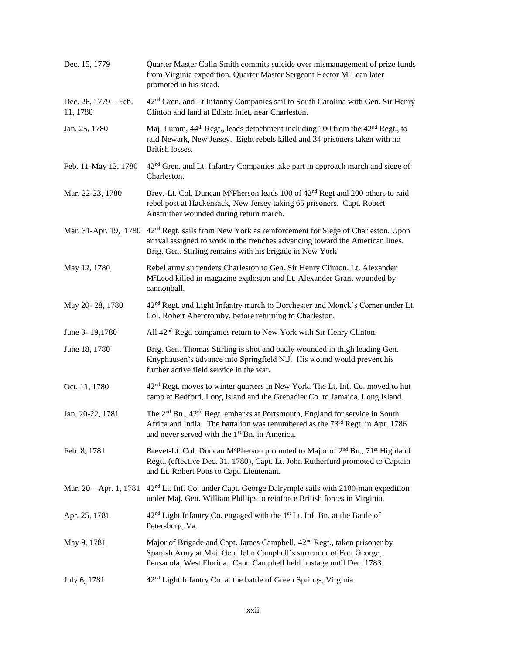| Dec. 15, 1779                    | Quarter Master Colin Smith commits suicide over mismanagement of prize funds<br>from Virginia expedition. Quarter Master Sergeant Hector M <sup>c</sup> Lean later<br>promoted in his stead.                                                                 |
|----------------------------------|--------------------------------------------------------------------------------------------------------------------------------------------------------------------------------------------------------------------------------------------------------------|
| Dec. 26, 1779 – Feb.<br>11, 1780 | 42 <sup>nd</sup> Gren. and Lt Infantry Companies sail to South Carolina with Gen. Sir Henry<br>Clinton and land at Edisto Inlet, near Charleston.                                                                                                            |
| Jan. 25, 1780                    | Maj. Lumm, 44 <sup>th</sup> Regt., leads detachment including 100 from the 42 <sup>nd</sup> Regt., to<br>raid Newark, New Jersey. Eight rebels killed and 34 prisoners taken with no<br>British losses.                                                      |
| Feb. 11-May 12, 1780             | 42 <sup>nd</sup> Gren. and Lt. Infantry Companies take part in approach march and siege of<br>Charleston.                                                                                                                                                    |
| Mar. 22-23, 1780                 | Brev.-Lt. Col. Duncan McPherson leads 100 of 42 <sup>nd</sup> Regt and 200 others to raid<br>rebel post at Hackensack, New Jersey taking 65 prisoners. Capt. Robert<br>Anstruther wounded during return march.                                               |
|                                  | Mar. 31-Apr. 19, 1780 42 <sup>nd</sup> Regt. sails from New York as reinforcement for Siege of Charleston. Upon<br>arrival assigned to work in the trenches advancing toward the American lines.<br>Brig. Gen. Stirling remains with his brigade in New York |
| May 12, 1780                     | Rebel army surrenders Charleston to Gen. Sir Henry Clinton. Lt. Alexander<br>McLeod killed in magazine explosion and Lt. Alexander Grant wounded by<br>cannonball.                                                                                           |
| May 20-28, 1780                  | 42 <sup>nd</sup> Regt. and Light Infantry march to Dorchester and Monck's Corner under Lt.<br>Col. Robert Abercromby, before returning to Charleston.                                                                                                        |
| June 3-19,1780                   | All 42 <sup>nd</sup> Regt. companies return to New York with Sir Henry Clinton.                                                                                                                                                                              |
| June 18, 1780                    | Brig. Gen. Thomas Stirling is shot and badly wounded in thigh leading Gen.<br>Knyphausen's advance into Springfield N.J. His wound would prevent his<br>further active field service in the war.                                                             |
| Oct. 11, 1780                    | 42 <sup>nd</sup> Regt. moves to winter quarters in New York. The Lt. Inf. Co. moved to hut<br>camp at Bedford, Long Island and the Grenadier Co. to Jamaica, Long Island.                                                                                    |
| Jan. 20-22, 1781                 | The 2 <sup>nd</sup> Bn., 42 <sup>nd</sup> Regt. embarks at Portsmouth, England for service in South<br>Africa and India. The battalion was renumbered as the 73rd Regt. in Apr. 1786<br>and never served with the 1 <sup>st</sup> Bn. in America.            |
| Feb. 8, 1781                     | Brevet-Lt. Col. Duncan McPherson promoted to Major of 2 <sup>nd</sup> Bn., 71 <sup>st</sup> Highland<br>Regt., (effective Dec. 31, 1780), Capt. Lt. John Rutherfurd promoted to Captain<br>and Lt. Robert Potts to Capt. Lieutenant.                         |
| Mar. $20 - Apr. 1, 1781$         | 42 <sup>nd</sup> Lt. Inf. Co. under Capt. George Dalrymple sails with 2100-man expedition<br>under Maj. Gen. William Phillips to reinforce British forces in Virginia.                                                                                       |
| Apr. 25, 1781                    | 42 <sup>nd</sup> Light Infantry Co. engaged with the 1 <sup>st</sup> Lt. Inf. Bn. at the Battle of<br>Petersburg, Va.                                                                                                                                        |
| May 9, 1781                      | Major of Brigade and Capt. James Campbell, 42 <sup>nd</sup> Regt., taken prisoner by<br>Spanish Army at Maj. Gen. John Campbell's surrender of Fort George,<br>Pensacola, West Florida. Capt. Campbell held hostage until Dec. 1783.                         |
| July 6, 1781                     | 42 <sup>nd</sup> Light Infantry Co. at the battle of Green Springs, Virginia.                                                                                                                                                                                |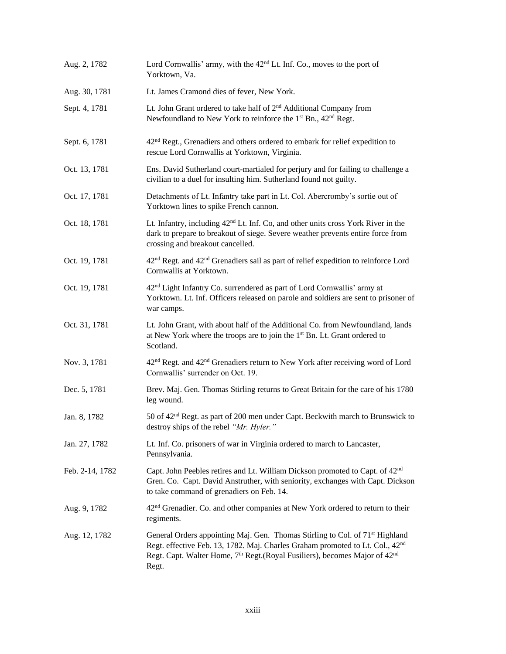| Aug. 2, 1782    | Lord Cornwallis' army, with the 42 <sup>nd</sup> Lt. Inf. Co., moves to the port of<br>Yorktown, Va.                                                                                                                                                                                                 |
|-----------------|------------------------------------------------------------------------------------------------------------------------------------------------------------------------------------------------------------------------------------------------------------------------------------------------------|
| Aug. 30, 1781   | Lt. James Cramond dies of fever, New York.                                                                                                                                                                                                                                                           |
| Sept. 4, 1781   | Lt. John Grant ordered to take half of 2 <sup>nd</sup> Additional Company from<br>Newfoundland to New York to reinforce the 1 <sup>st</sup> Bn., 42 <sup>nd</sup> Regt.                                                                                                                              |
| Sept. 6, 1781   | 42 <sup>nd</sup> Regt., Grenadiers and others ordered to embark for relief expedition to<br>rescue Lord Cornwallis at Yorktown, Virginia.                                                                                                                                                            |
| Oct. 13, 1781   | Ens. David Sutherland court-martialed for perjury and for failing to challenge a<br>civilian to a duel for insulting him. Sutherland found not guilty.                                                                                                                                               |
| Oct. 17, 1781   | Detachments of Lt. Infantry take part in Lt. Col. Abercromby's sortie out of<br>Yorktown lines to spike French cannon.                                                                                                                                                                               |
| Oct. 18, 1781   | Lt. Infantry, including 42 <sup>nd</sup> Lt. Inf. Co, and other units cross York River in the<br>dark to prepare to breakout of siege. Severe weather prevents entire force from<br>crossing and breakout cancelled.                                                                                 |
| Oct. 19, 1781   | 42 <sup>nd</sup> Regt. and 42 <sup>nd</sup> Grenadiers sail as part of relief expedition to reinforce Lord<br>Cornwallis at Yorktown.                                                                                                                                                                |
| Oct. 19, 1781   | 42 <sup>nd</sup> Light Infantry Co. surrendered as part of Lord Cornwallis' army at<br>Yorktown. Lt. Inf. Officers released on parole and soldiers are sent to prisoner of<br>war camps.                                                                                                             |
| Oct. 31, 1781   | Lt. John Grant, with about half of the Additional Co. from Newfoundland, lands<br>at New York where the troops are to join the 1 <sup>st</sup> Bn. Lt. Grant ordered to<br>Scotland.                                                                                                                 |
| Nov. 3, 1781    | 42 <sup>nd</sup> Regt. and 42 <sup>nd</sup> Grenadiers return to New York after receiving word of Lord<br>Cornwallis' surrender on Oct. 19.                                                                                                                                                          |
| Dec. 5, 1781    | Brev. Maj. Gen. Thomas Stirling returns to Great Britain for the care of his 1780<br>leg wound.                                                                                                                                                                                                      |
| Jan. 8, 1782    | 50 of 42 <sup>nd</sup> Regt. as part of 200 men under Capt. Beckwith march to Brunswick to<br>destroy ships of the rebel "Mr. Hyler."                                                                                                                                                                |
| Jan. 27, 1782   | Lt. Inf. Co. prisoners of war in Virginia ordered to march to Lancaster,<br>Pennsylvania.                                                                                                                                                                                                            |
| Feb. 2-14, 1782 | Capt. John Peebles retires and Lt. William Dickson promoted to Capt. of 42 <sup>nd</sup><br>Gren. Co. Capt. David Anstruther, with seniority, exchanges with Capt. Dickson<br>to take command of grenadiers on Feb. 14.                                                                              |
| Aug. 9, 1782    | 42 <sup>nd</sup> Grenadier. Co. and other companies at New York ordered to return to their<br>regiments.                                                                                                                                                                                             |
| Aug. 12, 1782   | General Orders appointing Maj. Gen. Thomas Stirling to Col. of 71 <sup>st</sup> Highland<br>Regt. effective Feb. 13, 1782. Maj. Charles Graham promoted to Lt. Col., 42 <sup>nd</sup><br>Regt. Capt. Walter Home, 7 <sup>th</sup> Regt.(Royal Fusiliers), becomes Major of 42 <sup>nd</sup><br>Regt. |